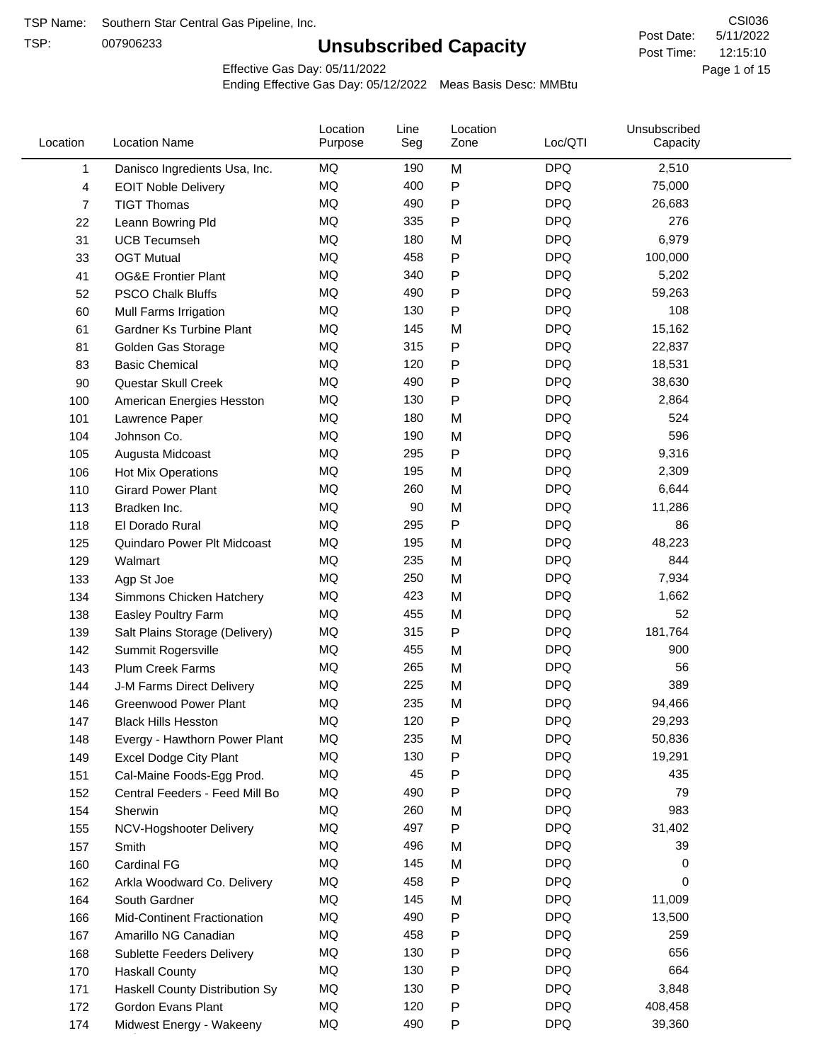TSP:

# **Unsubscribed Capacity**

5/11/2022 Page 1 of 15 12:15:10 CSI036 Post Date: Post Time:

Effective Gas Day: 05/11/2022

| Location | <b>Location Name</b>             | Location<br>Purpose | Line<br>Seg | Location<br>Zone | Loc/QTI    | Unsubscribed<br>Capacity |  |
|----------|----------------------------------|---------------------|-------------|------------------|------------|--------------------------|--|
| 1        | Danisco Ingredients Usa, Inc.    | MQ                  | 190         | M                | <b>DPQ</b> | 2,510                    |  |
| 4        | <b>EOIT Noble Delivery</b>       | <b>MQ</b>           | 400         | $\mathsf{P}$     | <b>DPQ</b> | 75,000                   |  |
| 7        | <b>TIGT Thomas</b>               | <b>MQ</b>           | 490         | $\mathsf{P}$     | <b>DPQ</b> | 26,683                   |  |
| 22       | Leann Bowring Pld                | <b>MQ</b>           | 335         | $\mathsf{P}$     | <b>DPQ</b> | 276                      |  |
| 31       | <b>UCB Tecumseh</b>              | <b>MQ</b>           | 180         | M                | <b>DPQ</b> | 6,979                    |  |
| 33       | <b>OGT Mutual</b>                | MQ                  | 458         | $\mathsf{P}$     | <b>DPQ</b> | 100,000                  |  |
| 41       | <b>OG&amp;E Frontier Plant</b>   | MQ                  | 340         | $\mathsf{P}$     | <b>DPQ</b> | 5,202                    |  |
| 52       | <b>PSCO Chalk Bluffs</b>         | <b>MQ</b>           | 490         | ${\sf P}$        | <b>DPQ</b> | 59,263                   |  |
| 60       | Mull Farms Irrigation            | <b>MQ</b>           | 130         | $\mathsf{P}$     | <b>DPQ</b> | 108                      |  |
| 61       | Gardner Ks Turbine Plant         | <b>MQ</b>           | 145         | M                | <b>DPQ</b> | 15,162                   |  |
| 81       | Golden Gas Storage               | <b>MQ</b>           | 315         | ${\sf P}$        | <b>DPQ</b> | 22,837                   |  |
| 83       | <b>Basic Chemical</b>            | <b>MQ</b>           | 120         | $\mathsf{P}$     | <b>DPQ</b> | 18,531                   |  |
| 90       | Questar Skull Creek              | <b>MQ</b>           | 490         | ${\sf P}$        | <b>DPQ</b> | 38,630                   |  |
| 100      | American Energies Hesston        | <b>MQ</b>           | 130         | $\mathsf{P}$     | <b>DPQ</b> | 2,864                    |  |
| 101      | Lawrence Paper                   | MQ                  | 180         | M                | <b>DPQ</b> | 524                      |  |
| 104      | Johnson Co.                      | MQ                  | 190         | M                | <b>DPQ</b> | 596                      |  |
| 105      | Augusta Midcoast                 | <b>MQ</b>           | 295         | ${\sf P}$        | <b>DPQ</b> | 9,316                    |  |
| 106      | Hot Mix Operations               | <b>MQ</b>           | 195         | M                | <b>DPQ</b> | 2,309                    |  |
| 110      | <b>Girard Power Plant</b>        | <b>MQ</b>           | 260         | M                | <b>DPQ</b> | 6,644                    |  |
| 113      | Bradken Inc.                     | <b>MQ</b>           | 90          | M                | <b>DPQ</b> | 11,286                   |  |
| 118      | El Dorado Rural                  | MQ                  | 295         | $\mathsf{P}$     | <b>DPQ</b> | 86                       |  |
| 125      | Quindaro Power Plt Midcoast      | <b>MQ</b>           | 195         | M                | <b>DPQ</b> | 48,223                   |  |
| 129      | Walmart                          | <b>MQ</b>           | 235         | M                | <b>DPQ</b> | 844                      |  |
| 133      | Agp St Joe                       | MQ                  | 250         | M                | <b>DPQ</b> | 7,934                    |  |
| 134      | Simmons Chicken Hatchery         | <b>MQ</b>           | 423         | M                | <b>DPQ</b> | 1,662                    |  |
| 138      | Easley Poultry Farm              | MQ                  | 455         | M                | <b>DPQ</b> | 52                       |  |
| 139      | Salt Plains Storage (Delivery)   | <b>MQ</b>           | 315         | ${\sf P}$        | <b>DPQ</b> | 181,764                  |  |
| 142      | Summit Rogersville               | MQ                  | 455         | M                | <b>DPQ</b> | 900                      |  |
| 143      | Plum Creek Farms                 | MQ                  | 265         | M                | <b>DPQ</b> | 56                       |  |
| 144      | J-M Farms Direct Delivery        | MQ                  | 225         | M                | <b>DPQ</b> | 389                      |  |
| 146      | <b>Greenwood Power Plant</b>     | <b>MQ</b>           | 235         | M                | <b>DPQ</b> | 94,466                   |  |
| 147      | <b>Black Hills Hesston</b>       | MQ                  | 120         | P                | <b>DPQ</b> | 29,293                   |  |
| 148      | Evergy - Hawthorn Power Plant    | MQ                  | 235         | M                | DPQ        | 50,836                   |  |
| 149      | <b>Excel Dodge City Plant</b>    | MQ                  | 130         | ${\sf P}$        | <b>DPQ</b> | 19,291                   |  |
| 151      | Cal-Maine Foods-Egg Prod.        | MQ                  | 45          | $\mathsf{P}$     | <b>DPQ</b> | 435                      |  |
| 152      | Central Feeders - Feed Mill Bo   | MQ                  | 490         | ${\sf P}$        | <b>DPQ</b> | 79                       |  |
| 154      | Sherwin                          | MQ                  | 260         | M                | <b>DPQ</b> | 983                      |  |
| 155      | NCV-Hogshooter Delivery          | MQ                  | 497         | P                | <b>DPQ</b> | 31,402                   |  |
| 157      | Smith                            | MQ                  | 496         | M                | <b>DPQ</b> | 39                       |  |
| 160      | <b>Cardinal FG</b>               | <b>MQ</b>           | 145         | M                | <b>DPQ</b> | 0                        |  |
| 162      | Arkla Woodward Co. Delivery      | MQ                  | 458         | ${\sf P}$        | <b>DPQ</b> | 0                        |  |
| 164      | South Gardner                    | MQ                  | 145         | M                | <b>DPQ</b> | 11,009                   |  |
| 166      | Mid-Continent Fractionation      | MQ                  | 490         | $\mathsf{P}$     | <b>DPQ</b> | 13,500                   |  |
| 167      | Amarillo NG Canadian             | MQ                  | 458         | $\mathsf{P}$     | <b>DPQ</b> | 259                      |  |
| 168      | <b>Sublette Feeders Delivery</b> | MQ                  | 130         | ${\sf P}$        | <b>DPQ</b> | 656                      |  |
| 170      | <b>Haskall County</b>            | MQ                  | 130         | ${\sf P}$        | <b>DPQ</b> | 664                      |  |
| 171      | Haskell County Distribution Sy   | MQ                  | 130         | P                | <b>DPQ</b> | 3,848                    |  |
| 172      | Gordon Evans Plant               | MQ                  | 120         | P                | <b>DPQ</b> | 408,458                  |  |
| 174      | Midwest Energy - Wakeeny         | MQ                  | 490         | P                | <b>DPQ</b> | 39,360                   |  |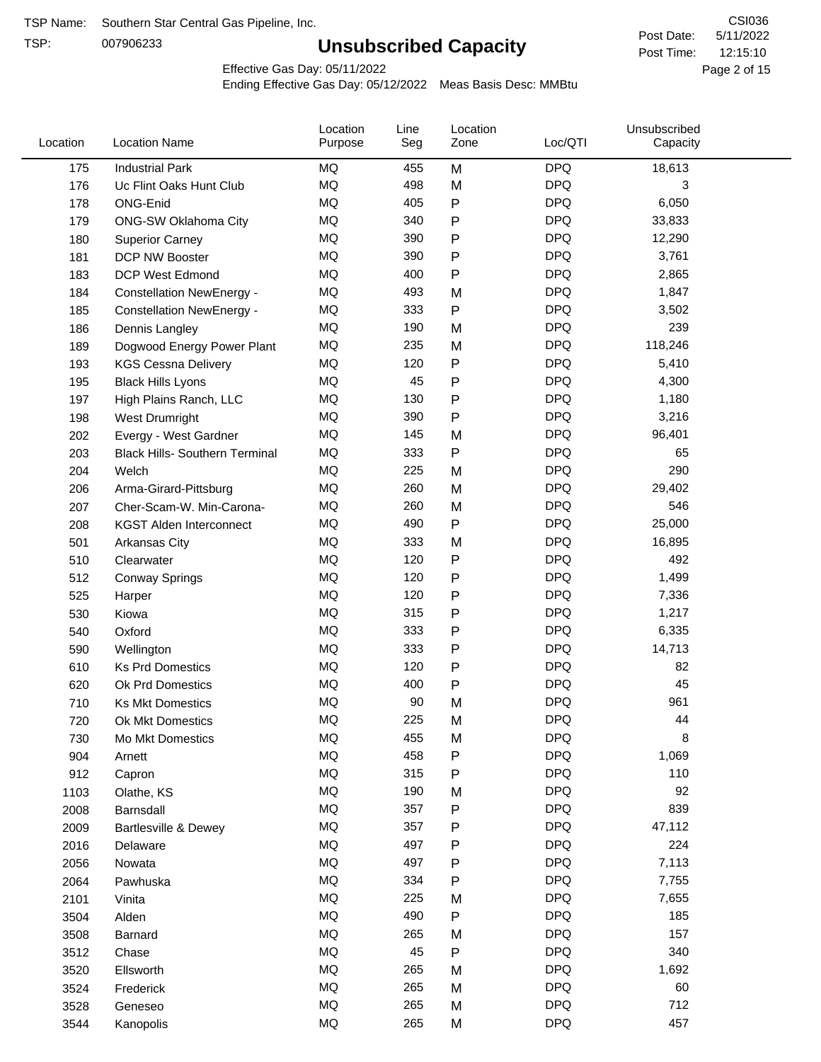TSP:

# **Unsubscribed Capacity**

5/11/2022 Page 2 of 15 12:15:10 CSI036 Post Date: Post Time:

Effective Gas Day: 05/11/2022

| Location | <b>Location Name</b>                  | Location<br>Purpose | Line<br>Seg | Location<br>Zone | Loc/QTI    | Unsubscribed<br>Capacity |  |
|----------|---------------------------------------|---------------------|-------------|------------------|------------|--------------------------|--|
| 175      | <b>Industrial Park</b>                | <b>MQ</b>           | 455         | M                | <b>DPQ</b> | 18,613                   |  |
| 176      | Uc Flint Oaks Hunt Club               | <b>MQ</b>           | 498         | M                | <b>DPQ</b> | 3                        |  |
| 178      | ONG-Enid                              | <b>MQ</b>           | 405         | P                | <b>DPQ</b> | 6,050                    |  |
| 179      | ONG-SW Oklahoma City                  | <b>MQ</b>           | 340         | P                | <b>DPQ</b> | 33,833                   |  |
| 180      | <b>Superior Carney</b>                | <b>MQ</b>           | 390         | Ρ                | <b>DPQ</b> | 12,290                   |  |
| 181      | DCP NW Booster                        | MQ                  | 390         | P                | <b>DPQ</b> | 3,761                    |  |
| 183      | <b>DCP West Edmond</b>                | MQ                  | 400         | Ρ                | <b>DPQ</b> | 2,865                    |  |
| 184      | <b>Constellation NewEnergy -</b>      | MQ                  | 493         | M                | <b>DPQ</b> | 1,847                    |  |
| 185      | <b>Constellation NewEnergy -</b>      | MQ                  | 333         | P                | <b>DPQ</b> | 3,502                    |  |
| 186      | Dennis Langley                        | MQ                  | 190         | M                | <b>DPQ</b> | 239                      |  |
| 189      | Dogwood Energy Power Plant            | MQ                  | 235         | M                | <b>DPQ</b> | 118,246                  |  |
| 193      | <b>KGS Cessna Delivery</b>            | <b>MQ</b>           | 120         | P                | <b>DPQ</b> | 5,410                    |  |
| 195      | <b>Black Hills Lyons</b>              | MQ                  | 45          | P                | <b>DPQ</b> | 4,300                    |  |
| 197      | High Plains Ranch, LLC                | MQ                  | 130         | P                | <b>DPQ</b> | 1,180                    |  |
| 198      | West Drumright                        | MQ                  | 390         | Ρ                | <b>DPQ</b> | 3,216                    |  |
| 202      | Evergy - West Gardner                 | MQ                  | 145         | M                | <b>DPQ</b> | 96,401                   |  |
| 203      | <b>Black Hills- Southern Terminal</b> | MQ                  | 333         | P                | <b>DPQ</b> | 65                       |  |
| 204      | Welch                                 | <b>MQ</b>           | 225         | M                | <b>DPQ</b> | 290                      |  |
| 206      | Arma-Girard-Pittsburg                 | MQ                  | 260         | M                | <b>DPQ</b> | 29,402                   |  |
| 207      | Cher-Scam-W. Min-Carona-              | MQ                  | 260         | M                | <b>DPQ</b> | 546                      |  |
| 208      | <b>KGST Alden Interconnect</b>        | MQ                  | 490         | Ρ                | <b>DPQ</b> | 25,000                   |  |
| 501      | Arkansas City                         | <b>MQ</b>           | 333         | M                | <b>DPQ</b> | 16,895                   |  |
| 510      | Clearwater                            | MQ                  | 120         | P                | <b>DPQ</b> | 492                      |  |
| 512      | <b>Conway Springs</b>                 | MQ                  | 120         | Ρ                | <b>DPQ</b> | 1,499                    |  |
| 525      | Harper                                | MQ                  | 120         | Ρ                | <b>DPQ</b> | 7,336                    |  |
| 530      | Kiowa                                 | <b>MQ</b>           | 315         | Ρ                | <b>DPQ</b> | 1,217                    |  |
| 540      | Oxford                                | <b>MQ</b>           | 333         | Ρ                | <b>DPQ</b> | 6,335                    |  |
| 590      | Wellington                            | MQ                  | 333         | Ρ                | <b>DPQ</b> | 14,713                   |  |
| 610      | <b>Ks Prd Domestics</b>               | MQ                  | 120         | P                | <b>DPQ</b> | 82                       |  |
| 620      | Ok Prd Domestics                      | MQ                  | 400         | Ρ                | <b>DPQ</b> | 45                       |  |
| 710      | <b>Ks Mkt Domestics</b>               | <b>MQ</b>           | 90          | M                | <b>DPQ</b> | 961                      |  |
| 720      | Ok Mkt Domestics                      | <b>MQ</b>           | 225         | M                | <b>DPQ</b> | 44                       |  |
| 730      | Mo Mkt Domestics                      | MQ                  | 455         | M                | <b>DPQ</b> | 8                        |  |
| 904      | Arnett                                | $\sf{MQ}$           | 458         | P                | <b>DPQ</b> | 1,069                    |  |
| 912      | Capron                                | MQ                  | 315         | Ρ                | <b>DPQ</b> | 110                      |  |
| 1103     | Olathe, KS                            | MQ                  | 190         | M                | <b>DPQ</b> | 92                       |  |
| 2008     | Barnsdall                             | MQ                  | 357         | Ρ                | <b>DPQ</b> | 839                      |  |
| 2009     | <b>Bartlesville &amp; Dewey</b>       | $\sf{MQ}$           | 357         | Ρ                | <b>DPQ</b> | 47,112                   |  |
| 2016     | Delaware                              | $\sf{MQ}$           | 497         | Ρ                | <b>DPQ</b> | 224                      |  |
| 2056     | Nowata                                | MQ                  | 497         | Ρ                | <b>DPQ</b> | 7,113                    |  |
| 2064     | Pawhuska                              | MQ                  | 334         | Ρ                | <b>DPQ</b> | 7,755                    |  |
| 2101     | Vinita                                | MQ                  | 225         | M                | <b>DPQ</b> | 7,655                    |  |
| 3504     | Alden                                 | MQ                  | 490         | P                | <b>DPQ</b> | 185                      |  |
| 3508     | Barnard                               | MQ                  | 265         | M                | <b>DPQ</b> | 157                      |  |
| 3512     | Chase                                 | MQ                  | 45          | P                | <b>DPQ</b> | 340                      |  |
| 3520     | Ellsworth                             | MQ                  | 265         | M                | <b>DPQ</b> | 1,692                    |  |
| 3524     | Frederick                             | $\sf{MQ}$           | 265         | M                | <b>DPQ</b> | 60                       |  |
| 3528     | Geneseo                               | $\sf{MQ}$           | 265         | M                | <b>DPQ</b> | 712                      |  |
| 3544     | Kanopolis                             | MQ                  | 265         | M                | <b>DPQ</b> | 457                      |  |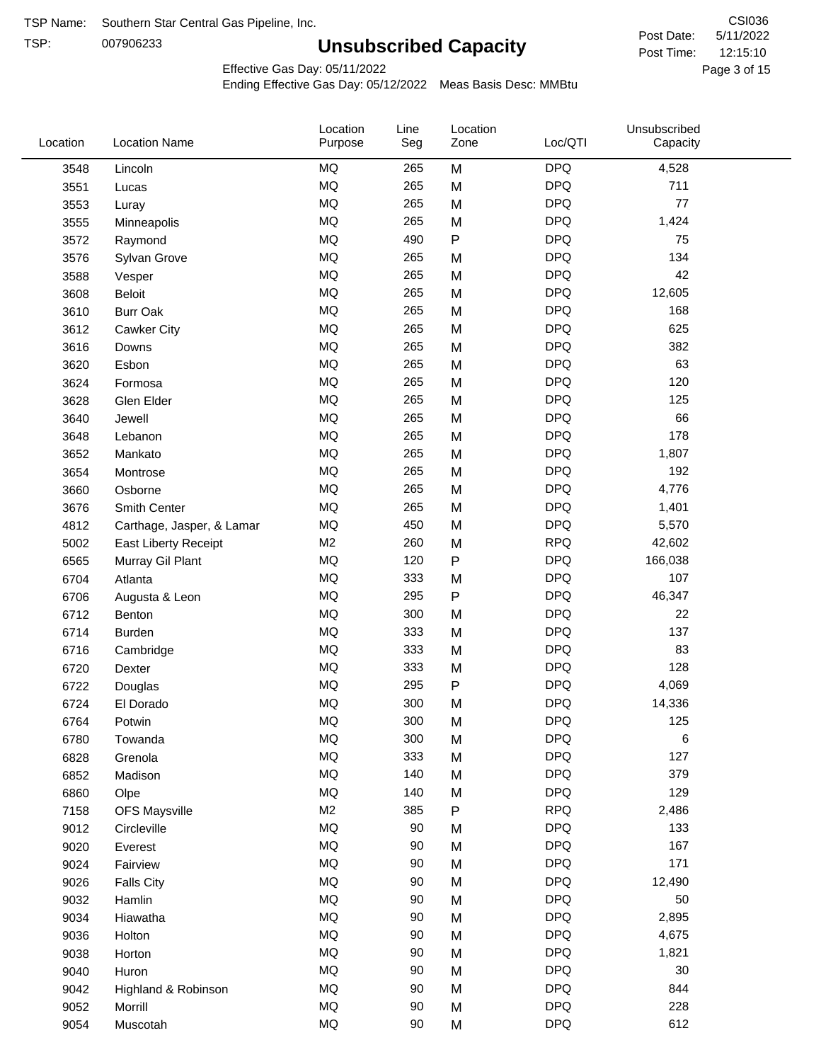TSP: 

# **Unsubscribed Capacity**

5/11/2022 Page 3 of 15 12:15:10 CSI036 Post Date: Post Time:

Effective Gas Day: 05/11/2022

| Location | <b>Location Name</b>      | Location<br>Purpose | Line<br>Seg | Location<br>Zone | Loc/QTI    | Unsubscribed<br>Capacity |  |
|----------|---------------------------|---------------------|-------------|------------------|------------|--------------------------|--|
| 3548     | Lincoln                   | MQ                  | 265         | M                | <b>DPQ</b> | 4,528                    |  |
| 3551     | Lucas                     | <b>MQ</b>           | 265         | M                | <b>DPQ</b> | 711                      |  |
| 3553     | Luray                     | <b>MQ</b>           | 265         | M                | <b>DPQ</b> | 77                       |  |
| 3555     | Minneapolis               | <b>MQ</b>           | 265         | M                | <b>DPQ</b> | 1,424                    |  |
| 3572     | Raymond                   | <b>MQ</b>           | 490         | P                | <b>DPQ</b> | 75                       |  |
| 3576     | Sylvan Grove              | <b>MQ</b>           | 265         | M                | <b>DPQ</b> | 134                      |  |
| 3588     | Vesper                    | <b>MQ</b>           | 265         | M                | <b>DPQ</b> | 42                       |  |
| 3608     | Beloit                    | <b>MQ</b>           | 265         | M                | <b>DPQ</b> | 12,605                   |  |
| 3610     | <b>Burr Oak</b>           | <b>MQ</b>           | 265         | M                | <b>DPQ</b> | 168                      |  |
| 3612     | Cawker City               | <b>MQ</b>           | 265         | M                | <b>DPQ</b> | 625                      |  |
| 3616     | Downs                     | <b>MQ</b>           | 265         | M                | <b>DPQ</b> | 382                      |  |
| 3620     | Esbon                     | <b>MQ</b>           | 265         | M                | <b>DPQ</b> | 63                       |  |
| 3624     | Formosa                   | <b>MQ</b>           | 265         | M                | <b>DPQ</b> | 120                      |  |
| 3628     | Glen Elder                | <b>MQ</b>           | 265         | M                | <b>DPQ</b> | 125                      |  |
| 3640     | Jewell                    | <b>MQ</b>           | 265         | M                | <b>DPQ</b> | 66                       |  |
| 3648     | Lebanon                   | <b>MQ</b>           | 265         | M                | <b>DPQ</b> | 178                      |  |
| 3652     | Mankato                   | <b>MQ</b>           | 265         | M                | <b>DPQ</b> | 1,807                    |  |
| 3654     | Montrose                  | <b>MQ</b>           | 265         | M                | <b>DPQ</b> | 192                      |  |
| 3660     | Osborne                   | <b>MQ</b>           | 265         | M                | <b>DPQ</b> | 4,776                    |  |
| 3676     | Smith Center              | <b>MQ</b>           | 265         | M                | <b>DPQ</b> | 1,401                    |  |
| 4812     | Carthage, Jasper, & Lamar | MQ                  | 450         | M                | <b>DPQ</b> | 5,570                    |  |
| 5002     | East Liberty Receipt      | M <sub>2</sub>      | 260         | M                | <b>RPQ</b> | 42,602                   |  |
| 6565     | Murray Gil Plant          | MQ                  | 120         | $\mathsf{P}$     | <b>DPQ</b> | 166,038                  |  |
| 6704     | Atlanta                   | <b>MQ</b>           | 333         | M                | <b>DPQ</b> | 107                      |  |
| 6706     | Augusta & Leon            | <b>MQ</b>           | 295         | P                | <b>DPQ</b> | 46,347                   |  |
| 6712     | Benton                    | <b>MQ</b>           | 300         | M                | <b>DPQ</b> | 22                       |  |
| 6714     | Burden                    | <b>MQ</b>           | 333         | M                | <b>DPQ</b> | 137                      |  |
| 6716     | Cambridge                 | <b>MQ</b>           | 333         | M                | <b>DPQ</b> | 83                       |  |
| 6720     | Dexter                    | <b>MQ</b>           | 333         | M                | <b>DPQ</b> | 128                      |  |
| 6722     | Douglas                   | <b>MQ</b>           | 295         | P                | <b>DPQ</b> | 4,069                    |  |
| 6724     | El Dorado                 | <b>MQ</b>           | 300         | M                | <b>DPQ</b> | 14,336                   |  |
| 6764     | Potwin                    | <b>MQ</b>           | 300         | M                | <b>DPQ</b> | 125                      |  |
| 6780     | Towanda                   | MQ                  | 300         | M                | <b>DPQ</b> | 6                        |  |
| 6828     | Grenola                   | MQ                  | 333         | M                | <b>DPQ</b> | 127                      |  |
| 6852     | Madison                   | <b>MQ</b>           | 140         | M                | <b>DPQ</b> | 379                      |  |
| 6860     | Olpe                      | <b>MQ</b>           | 140         | M                | <b>DPQ</b> | 129                      |  |
| 7158     | <b>OFS Maysville</b>      | M <sub>2</sub>      | 385         | P                | <b>RPQ</b> | 2,486                    |  |
| 9012     | Circleville               | MQ                  | 90          | M                | <b>DPQ</b> | 133                      |  |
| 9020     | Everest                   | MQ                  | 90          | M                | <b>DPQ</b> | 167                      |  |
| 9024     | Fairview                  | MQ                  | 90          | M                | <b>DPQ</b> | 171                      |  |
| 9026     | <b>Falls City</b>         | MQ                  | 90          | M                | <b>DPQ</b> | 12,490                   |  |
| 9032     | Hamlin                    | MQ                  | 90          | M                | <b>DPQ</b> | 50                       |  |
| 9034     | Hiawatha                  | MQ                  | 90          | M                | <b>DPQ</b> | 2,895                    |  |
| 9036     | Holton                    | <b>MQ</b>           | 90          | M                | <b>DPQ</b> | 4,675                    |  |
| 9038     | Horton                    | <b>MQ</b>           | 90          | M                | <b>DPQ</b> | 1,821                    |  |
| 9040     | Huron                     | MQ                  | 90          | M                | <b>DPQ</b> | 30                       |  |
| 9042     | Highland & Robinson       | MQ                  | 90          | M                | <b>DPQ</b> | 844                      |  |
| 9052     | Morrill                   | $\sf{MQ}$           | 90          | M                | <b>DPQ</b> | 228                      |  |
| 9054     | Muscotah                  | <b>MQ</b>           | 90          | M                | <b>DPQ</b> | 612                      |  |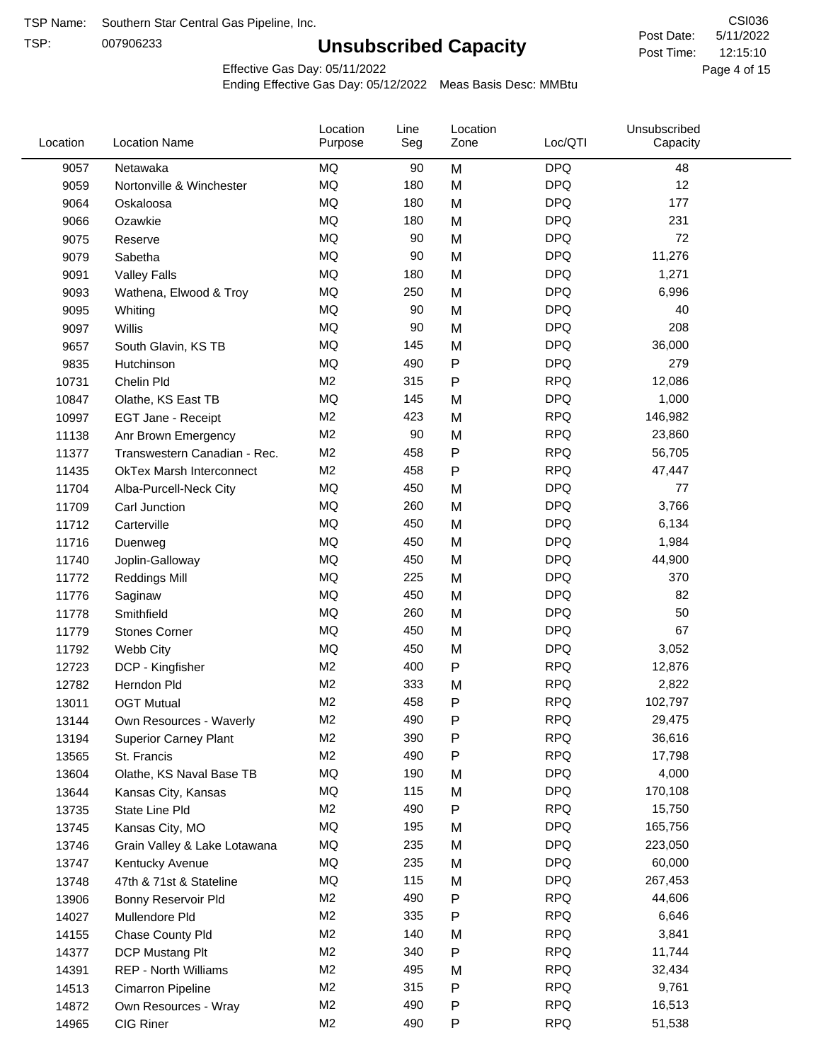TSP:

# **Unsubscribed Capacity**

5/11/2022 Page 4 of 15 12:15:10 CSI036 Post Date: Post Time:

Effective Gas Day: 05/11/2022

| Location | <b>Location Name</b>            | Location<br>Purpose | Line<br>Seg | Location<br>Zone | Loc/QTI    | Unsubscribed<br>Capacity |  |
|----------|---------------------------------|---------------------|-------------|------------------|------------|--------------------------|--|
| 9057     | Netawaka                        | MQ                  | 90          | M                | <b>DPQ</b> | 48                       |  |
| 9059     | Nortonville & Winchester        | MQ                  | 180         | M                | <b>DPQ</b> | 12                       |  |
| 9064     | Oskaloosa                       | MQ                  | 180         | M                | <b>DPQ</b> | 177                      |  |
| 9066     | Ozawkie                         | <b>MQ</b>           | 180         | M                | <b>DPQ</b> | 231                      |  |
| 9075     | Reserve                         | <b>MQ</b>           | 90          | M                | <b>DPQ</b> | 72                       |  |
| 9079     | Sabetha                         | MQ                  | 90          | M                | <b>DPQ</b> | 11,276                   |  |
| 9091     | <b>Valley Falls</b>             | <b>MQ</b>           | 180         | M                | <b>DPQ</b> | 1,271                    |  |
| 9093     | Wathena, Elwood & Troy          | MQ                  | 250         | M                | <b>DPQ</b> | 6,996                    |  |
| 9095     | Whiting                         | <b>MQ</b>           | 90          | M                | <b>DPQ</b> | 40                       |  |
| 9097     | Willis                          | <b>MQ</b>           | 90          | M                | <b>DPQ</b> | 208                      |  |
| 9657     | South Glavin, KS TB             | MQ                  | 145         | M                | <b>DPQ</b> | 36,000                   |  |
| 9835     | Hutchinson                      | <b>MQ</b>           | 490         | P                | <b>DPQ</b> | 279                      |  |
| 10731    | Chelin Pld                      | M <sub>2</sub>      | 315         | P                | <b>RPQ</b> | 12,086                   |  |
| 10847    | Olathe, KS East TB              | <b>MQ</b>           | 145         | M                | <b>DPQ</b> | 1,000                    |  |
| 10997    | EGT Jane - Receipt              | M <sub>2</sub>      | 423         | M                | <b>RPQ</b> | 146,982                  |  |
| 11138    | Anr Brown Emergency             | M <sub>2</sub>      | 90          | M                | <b>RPQ</b> | 23,860                   |  |
| 11377    | Transwestern Canadian - Rec.    | M <sub>2</sub>      | 458         | P                | <b>RPQ</b> | 56,705                   |  |
| 11435    | <b>OkTex Marsh Interconnect</b> | M <sub>2</sub>      | 458         | P                | <b>RPQ</b> | 47,447                   |  |
| 11704    | Alba-Purcell-Neck City          | MQ                  | 450         | M                | <b>DPQ</b> | 77                       |  |
| 11709    | Carl Junction                   | MQ                  | 260         | M                | <b>DPQ</b> | 3,766                    |  |
| 11712    | Carterville                     | MQ                  | 450         | M                | <b>DPQ</b> | 6,134                    |  |
| 11716    | Duenweg                         | <b>MQ</b>           | 450         | M                | <b>DPQ</b> | 1,984                    |  |
| 11740    | Joplin-Galloway                 | <b>MQ</b>           | 450         | M                | <b>DPQ</b> | 44,900                   |  |
| 11772    | <b>Reddings Mill</b>            | <b>MQ</b>           | 225         | M                | <b>DPQ</b> | 370                      |  |
| 11776    | Saginaw                         | MQ                  | 450         | M                | <b>DPQ</b> | 82                       |  |
| 11778    | Smithfield                      | <b>MQ</b>           | 260         | M                | <b>DPQ</b> | 50                       |  |
| 11779    | <b>Stones Corner</b>            | <b>MQ</b>           | 450         | M                | <b>DPQ</b> | 67                       |  |
| 11792    | Webb City                       | MQ                  | 450         | M                | <b>DPQ</b> | 3,052                    |  |
| 12723    | DCP - Kingfisher                | M <sub>2</sub>      | 400         | P                | <b>RPQ</b> | 12,876                   |  |
| 12782    | Herndon Pld                     | M <sub>2</sub>      | 333         | M                | <b>RPQ</b> | 2,822                    |  |
| 13011    | <b>OGT Mutual</b>               | M <sub>2</sub>      | 458         | Ρ                | <b>RPQ</b> | 102,797                  |  |
| 13144    | Own Resources - Waverly         | M <sub>2</sub>      | 490         | P                | <b>RPQ</b> | 29,475                   |  |
| 13194    | <b>Superior Carney Plant</b>    | M <sub>2</sub>      | 390         | P                | <b>RPQ</b> | 36,616                   |  |
| 13565    | St. Francis                     | M <sub>2</sub>      | 490         | P                | <b>RPQ</b> | 17,798                   |  |
| 13604    | Olathe, KS Naval Base TB        | MQ                  | 190         | M                | <b>DPQ</b> | 4,000                    |  |
| 13644    | Kansas City, Kansas             | MQ                  | 115         | M                | <b>DPQ</b> | 170,108                  |  |
| 13735    | State Line Pld                  | M <sub>2</sub>      | 490         | ${\sf P}$        | <b>RPQ</b> | 15,750                   |  |
| 13745    | Kansas City, MO                 | MQ                  | 195         | M                | <b>DPQ</b> | 165,756                  |  |
| 13746    | Grain Valley & Lake Lotawana    | MQ                  | 235         | M                | <b>DPQ</b> | 223,050                  |  |
| 13747    | Kentucky Avenue                 | MQ                  | 235         | M                | <b>DPQ</b> | 60,000                   |  |
| 13748    | 47th & 71st & Stateline         | MQ                  | 115         | M                | <b>DPQ</b> | 267,453                  |  |
| 13906    | Bonny Reservoir Pld             | M <sub>2</sub>      | 490         | P                | <b>RPQ</b> | 44,606                   |  |
| 14027    | Mullendore Pld                  | M <sub>2</sub>      | 335         | P                | <b>RPQ</b> | 6,646                    |  |
| 14155    | Chase County Pld                | M <sub>2</sub>      | 140         | M                | <b>RPQ</b> | 3,841                    |  |
| 14377    | DCP Mustang Plt                 | M <sub>2</sub>      | 340         | P                | <b>RPQ</b> | 11,744                   |  |
| 14391    | <b>REP - North Williams</b>     | M <sub>2</sub>      | 495         | M                | <b>RPQ</b> | 32,434                   |  |
| 14513    | Cimarron Pipeline               | M <sub>2</sub>      | 315         | P                | <b>RPQ</b> | 9,761                    |  |
| 14872    | Own Resources - Wray            | M <sub>2</sub>      | 490         | P                | <b>RPQ</b> | 16,513                   |  |
| 14965    | CIG Riner                       | M <sub>2</sub>      | 490         | P                | <b>RPQ</b> | 51,538                   |  |
|          |                                 |                     |             |                  |            |                          |  |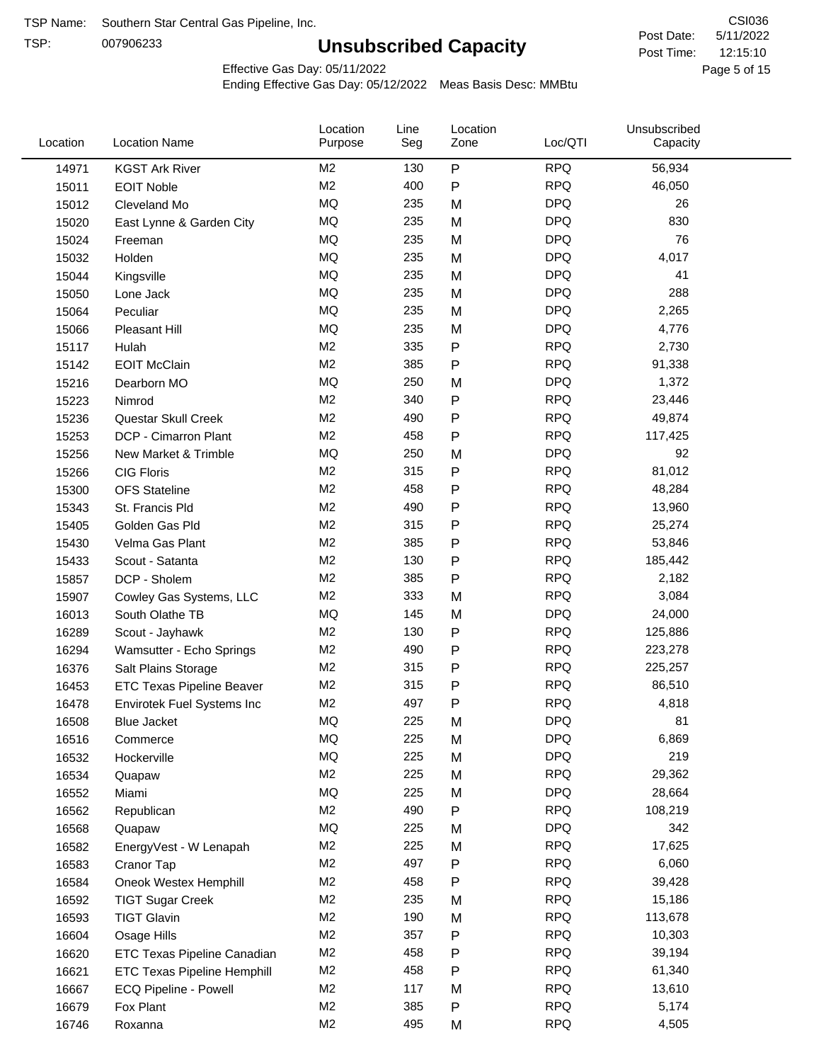TSP:

# **Unsubscribed Capacity**

5/11/2022 Page 5 of 15 12:15:10 CSI036 Post Date: Post Time:

Effective Gas Day: 05/11/2022

| Location | <b>Location Name</b>               | Location<br>Purpose | Line<br>Seg | Location<br>Zone | Loc/QTI    | Unsubscribed<br>Capacity |  |
|----------|------------------------------------|---------------------|-------------|------------------|------------|--------------------------|--|
| 14971    | <b>KGST Ark River</b>              | M2                  | 130         | P                | <b>RPQ</b> | 56,934                   |  |
| 15011    | <b>EOIT Noble</b>                  | M <sub>2</sub>      | 400         | P                | <b>RPQ</b> | 46,050                   |  |
| 15012    | Cleveland Mo                       | <b>MQ</b>           | 235         | M                | <b>DPQ</b> | 26                       |  |
| 15020    | East Lynne & Garden City           | <b>MQ</b>           | 235         | M                | <b>DPQ</b> | 830                      |  |
| 15024    | Freeman                            | <b>MQ</b>           | 235         | M                | <b>DPQ</b> | 76                       |  |
| 15032    | Holden                             | <b>MQ</b>           | 235         | M                | <b>DPQ</b> | 4,017                    |  |
| 15044    | Kingsville                         | <b>MQ</b>           | 235         | M                | <b>DPQ</b> | 41                       |  |
| 15050    | Lone Jack                          | <b>MQ</b>           | 235         | M                | <b>DPQ</b> | 288                      |  |
| 15064    | Peculiar                           | <b>MQ</b>           | 235         | M                | <b>DPQ</b> | 2,265                    |  |
| 15066    | Pleasant Hill                      | <b>MQ</b>           | 235         | M                | <b>DPQ</b> | 4,776                    |  |
| 15117    | Hulah                              | M <sub>2</sub>      | 335         | P                | <b>RPQ</b> | 2,730                    |  |
| 15142    | <b>EOIT McClain</b>                | M <sub>2</sub>      | 385         | P                | <b>RPQ</b> | 91,338                   |  |
| 15216    | Dearborn MO                        | MQ                  | 250         | M                | <b>DPQ</b> | 1,372                    |  |
| 15223    | Nimrod                             | M <sub>2</sub>      | 340         | P                | <b>RPQ</b> | 23,446                   |  |
| 15236    | Questar Skull Creek                | M <sub>2</sub>      | 490         | P                | <b>RPQ</b> | 49,874                   |  |
| 15253    | DCP - Cimarron Plant               | M <sub>2</sub>      | 458         | Ρ                | <b>RPQ</b> | 117,425                  |  |
| 15256    | New Market & Trimble               | <b>MQ</b>           | 250         | M                | <b>DPQ</b> | 92                       |  |
| 15266    | <b>CIG Floris</b>                  | M <sub>2</sub>      | 315         | P                | <b>RPQ</b> | 81,012                   |  |
| 15300    | <b>OFS Stateline</b>               | M <sub>2</sub>      | 458         | P                | <b>RPQ</b> | 48,284                   |  |
| 15343    | St. Francis Pld                    | M <sub>2</sub>      | 490         | P                | <b>RPQ</b> | 13,960                   |  |
| 15405    | Golden Gas Pld                     | M <sub>2</sub>      | 315         | P                | <b>RPQ</b> | 25,274                   |  |
| 15430    | Velma Gas Plant                    | M <sub>2</sub>      | 385         | Ρ                | <b>RPQ</b> | 53,846                   |  |
| 15433    | Scout - Satanta                    | M <sub>2</sub>      | 130         | P                | <b>RPQ</b> | 185,442                  |  |
| 15857    | DCP - Sholem                       | M <sub>2</sub>      | 385         | P                | <b>RPQ</b> | 2,182                    |  |
| 15907    | Cowley Gas Systems, LLC            | M <sub>2</sub>      | 333         | M                | <b>RPQ</b> | 3,084                    |  |
| 16013    | South Olathe TB                    | MQ                  | 145         | M                | <b>DPQ</b> | 24,000                   |  |
| 16289    | Scout - Jayhawk                    | M2                  | 130         | Ρ                | <b>RPQ</b> | 125,886                  |  |
| 16294    | Wamsutter - Echo Springs           | M <sub>2</sub>      | 490         | P                | <b>RPQ</b> | 223,278                  |  |
| 16376    | Salt Plains Storage                | M <sub>2</sub>      | 315         | P                | <b>RPQ</b> | 225,257                  |  |
| 16453    | <b>ETC Texas Pipeline Beaver</b>   | M <sub>2</sub>      | 315         | P                | <b>RPQ</b> | 86,510                   |  |
| 16478    | Envirotek Fuel Systems Inc         | M <sub>2</sub>      | 497         | P                | <b>RPQ</b> | 4,818                    |  |
| 16508    | Blue Jacket                        | <b>MQ</b>           | 225         | M                | <b>DPQ</b> | 81                       |  |
| 16516    | Commerce                           | MQ                  | 225         | M                | <b>DPQ</b> | 6,869                    |  |
| 16532    | Hockerville                        | $\sf{MQ}$           | 225         | M                | <b>DPQ</b> | 219                      |  |
| 16534    | Quapaw                             | M <sub>2</sub>      | 225         | M                | <b>RPQ</b> | 29,362                   |  |
| 16552    | Miami                              | MQ                  | 225         | M                | <b>DPQ</b> | 28,664                   |  |
| 16562    | Republican                         | M2                  | 490         | P                | <b>RPQ</b> | 108,219                  |  |
| 16568    | Quapaw                             | <b>MQ</b>           | 225         | M                | <b>DPQ</b> | 342                      |  |
| 16582    | EnergyVest - W Lenapah             | M2                  | 225         | M                | <b>RPQ</b> | 17,625                   |  |
| 16583    | Cranor Tap                         | M2                  | 497         | P                | <b>RPQ</b> | 6,060                    |  |
| 16584    | Oneok Westex Hemphill              | M <sub>2</sub>      | 458         | Ρ                | <b>RPQ</b> | 39,428                   |  |
| 16592    | <b>TIGT Sugar Creek</b>            | M2                  | 235         | M                | <b>RPQ</b> | 15,186                   |  |
| 16593    | <b>TIGT Glavin</b>                 | M <sub>2</sub>      | 190         | M                | <b>RPQ</b> | 113,678                  |  |
| 16604    | Osage Hills                        | M <sub>2</sub>      | 357         | Ρ                | <b>RPQ</b> | 10,303                   |  |
| 16620    | <b>ETC Texas Pipeline Canadian</b> | M <sub>2</sub>      | 458         | Ρ                | <b>RPQ</b> | 39,194                   |  |
| 16621    | <b>ETC Texas Pipeline Hemphill</b> | M2                  | 458         | Ρ                | <b>RPQ</b> | 61,340                   |  |
| 16667    | ECQ Pipeline - Powell              | M2                  | 117         | M                | <b>RPQ</b> | 13,610                   |  |
| 16679    | Fox Plant                          | M2                  | 385         | P                | <b>RPQ</b> | 5,174                    |  |
| 16746    | Roxanna                            | M2                  | 495         | M                | <b>RPQ</b> | 4,505                    |  |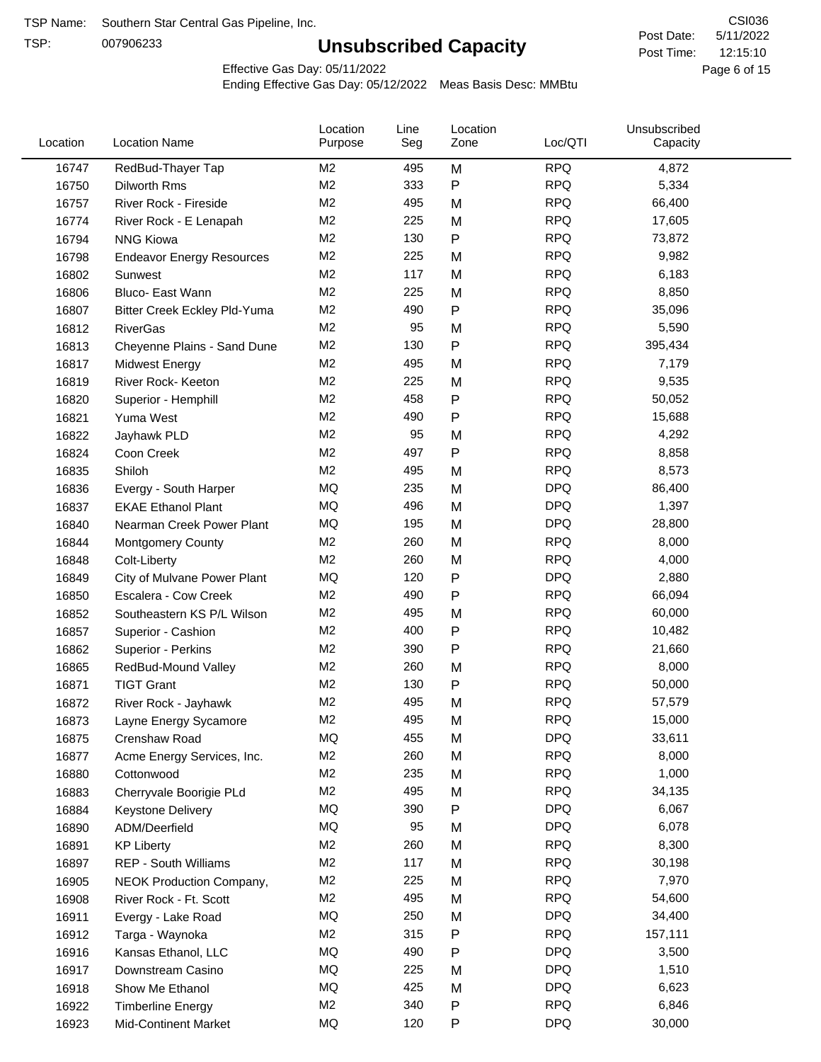TSP:

# **Unsubscribed Capacity**

5/11/2022 Page 6 of 15 12:15:10 CSI036 Post Date: Post Time:

Effective Gas Day: 05/11/2022

| Location | <b>Location Name</b>             | Location<br>Purpose | Line<br>Seg | Location<br>Zone | Loc/QTI    | Unsubscribed<br>Capacity |  |
|----------|----------------------------------|---------------------|-------------|------------------|------------|--------------------------|--|
| 16747    | RedBud-Thayer Tap                | M2                  | 495         | M                | <b>RPQ</b> | 4,872                    |  |
| 16750    | Dilworth Rms                     | M <sub>2</sub>      | 333         | P                | <b>RPQ</b> | 5,334                    |  |
| 16757    | River Rock - Fireside            | M <sub>2</sub>      | 495         | M                | <b>RPQ</b> | 66,400                   |  |
| 16774    | River Rock - E Lenapah           | M <sub>2</sub>      | 225         | M                | <b>RPQ</b> | 17,605                   |  |
| 16794    | <b>NNG Kiowa</b>                 | M <sub>2</sub>      | 130         | P                | <b>RPQ</b> | 73,872                   |  |
| 16798    | <b>Endeavor Energy Resources</b> | M <sub>2</sub>      | 225         | M                | <b>RPQ</b> | 9,982                    |  |
| 16802    | Sunwest                          | M <sub>2</sub>      | 117         | M                | <b>RPQ</b> | 6,183                    |  |
| 16806    | Bluco- East Wann                 | M <sub>2</sub>      | 225         | M                | <b>RPQ</b> | 8,850                    |  |
| 16807    | Bitter Creek Eckley Pld-Yuma     | M2                  | 490         | P                | <b>RPQ</b> | 35,096                   |  |
| 16812    | <b>RiverGas</b>                  | M <sub>2</sub>      | 95          | M                | <b>RPQ</b> | 5,590                    |  |
| 16813    | Cheyenne Plains - Sand Dune      | M <sub>2</sub>      | 130         | P                | <b>RPQ</b> | 395,434                  |  |
| 16817    | <b>Midwest Energy</b>            | M <sub>2</sub>      | 495         | M                | <b>RPQ</b> | 7,179                    |  |
| 16819    | River Rock- Keeton               | M <sub>2</sub>      | 225         | M                | <b>RPQ</b> | 9,535                    |  |
| 16820    | Superior - Hemphill              | M <sub>2</sub>      | 458         | Ρ                | <b>RPQ</b> | 50,052                   |  |
| 16821    | Yuma West                        | M <sub>2</sub>      | 490         | P                | <b>RPQ</b> | 15,688                   |  |
| 16822    | Jayhawk PLD                      | M <sub>2</sub>      | 95          | M                | <b>RPQ</b> | 4,292                    |  |
| 16824    | Coon Creek                       | M <sub>2</sub>      | 497         | P                | <b>RPQ</b> | 8,858                    |  |
| 16835    | Shiloh                           | M2                  | 495         | M                | <b>RPQ</b> | 8,573                    |  |
| 16836    | Evergy - South Harper            | MQ                  | 235         | M                | <b>DPQ</b> | 86,400                   |  |
| 16837    | <b>EKAE Ethanol Plant</b>        | MQ                  | 496         | M                | <b>DPQ</b> | 1,397                    |  |
| 16840    | Nearman Creek Power Plant        | MQ                  | 195         | M                | <b>DPQ</b> | 28,800                   |  |
| 16844    | <b>Montgomery County</b>         | M <sub>2</sub>      | 260         | M                | <b>RPQ</b> | 8,000                    |  |
| 16848    | Colt-Liberty                     | M <sub>2</sub>      | 260         | M                | <b>RPQ</b> | 4,000                    |  |
| 16849    | City of Mulvane Power Plant      | MQ                  | 120         | P                | <b>DPQ</b> | 2,880                    |  |
| 16850    | Escalera - Cow Creek             | M <sub>2</sub>      | 490         | Ρ                | <b>RPQ</b> | 66,094                   |  |
| 16852    | Southeastern KS P/L Wilson       | M <sub>2</sub>      | 495         | M                | <b>RPQ</b> | 60,000                   |  |
| 16857    | Superior - Cashion               | M <sub>2</sub>      | 400         | P                | <b>RPQ</b> | 10,482                   |  |
| 16862    | Superior - Perkins               | M <sub>2</sub>      | 390         | P                | <b>RPQ</b> | 21,660                   |  |
| 16865    | RedBud-Mound Valley              | M <sub>2</sub>      | 260         | M                | <b>RPQ</b> | 8,000                    |  |
| 16871    | <b>TIGT Grant</b>                | M <sub>2</sub>      | 130         | Ρ                | <b>RPQ</b> | 50,000                   |  |
| 16872    | River Rock - Jayhawk             | M <sub>2</sub>      | 495         | M                | <b>RPQ</b> | 57,579                   |  |
| 16873    | Layne Energy Sycamore            | M <sub>2</sub>      | 495         | M                | <b>RPQ</b> | 15,000                   |  |
| 16875    | Crenshaw Road                    | MQ                  | 455         | M                | <b>DPQ</b> | 33,611                   |  |
| 16877    | Acme Energy Services, Inc.       | M <sub>2</sub>      | 260         | M                | <b>RPQ</b> | 8,000                    |  |
| 16880    | Cottonwood                       | M <sub>2</sub>      | 235         | M                | <b>RPQ</b> | 1,000                    |  |
| 16883    | Cherryvale Boorigie PLd          | M <sub>2</sub>      | 495         | M                | <b>RPQ</b> | 34,135                   |  |
| 16884    | Keystone Delivery                | MQ                  | 390         | P                | <b>DPQ</b> | 6,067                    |  |
| 16890    | ADM/Deerfield                    | MQ                  | 95          | M                | <b>DPQ</b> | 6,078                    |  |
| 16891    | <b>KP Liberty</b>                | M2                  | 260         | M                | <b>RPQ</b> | 8,300                    |  |
| 16897    | REP - South Williams             | M <sub>2</sub>      | 117         | M                | <b>RPQ</b> | 30,198                   |  |
| 16905    | NEOK Production Company,         | M2                  | 225         | M                | <b>RPQ</b> | 7,970                    |  |
| 16908    | River Rock - Ft. Scott           | M2                  | 495         | M                | <b>RPQ</b> | 54,600                   |  |
| 16911    | Evergy - Lake Road               | MQ                  | 250         | M                | <b>DPQ</b> | 34,400                   |  |
| 16912    | Targa - Waynoka                  | M <sub>2</sub>      | 315         | P                | <b>RPQ</b> | 157,111                  |  |
| 16916    | Kansas Ethanol, LLC              | MQ                  | 490         | P                | <b>DPQ</b> | 3,500                    |  |
| 16917    | Downstream Casino                | MQ                  | 225         | M                | <b>DPQ</b> | 1,510                    |  |
| 16918    | Show Me Ethanol                  | MQ                  | 425         | M                | <b>DPQ</b> | 6,623                    |  |
| 16922    | <b>Timberline Energy</b>         | M2                  | 340         | P                | <b>RPQ</b> | 6,846                    |  |
| 16923    | <b>Mid-Continent Market</b>      | MQ                  | 120         | P                | <b>DPQ</b> | 30,000                   |  |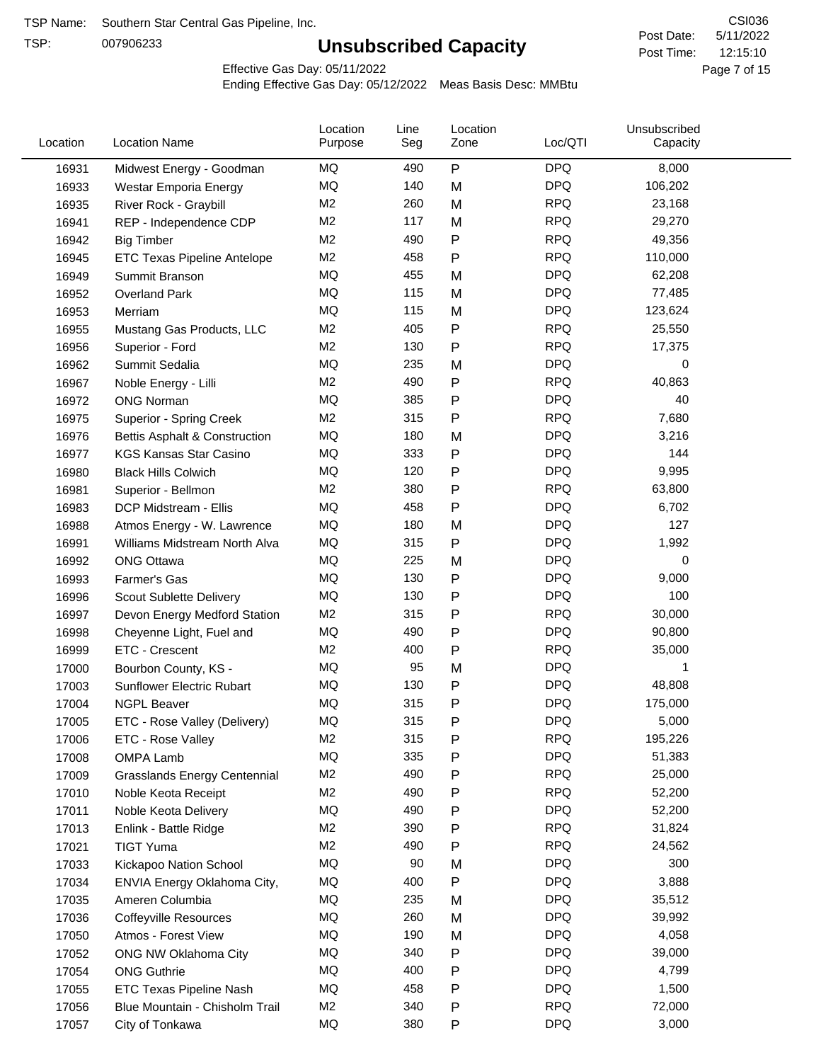TSP:

# **Unsubscribed Capacity**

5/11/2022 Page 7 of 15 12:15:10 CSI036 Post Date: Post Time:

Effective Gas Day: 05/11/2022

| Location | <b>Location Name</b>                                       | Location<br>Purpose | Line<br>Seg | Location<br>Zone | Loc/QTI    | Unsubscribed<br>Capacity |  |
|----------|------------------------------------------------------------|---------------------|-------------|------------------|------------|--------------------------|--|
| 16931    | Midwest Energy - Goodman                                   | ΜQ                  | 490         | P                | <b>DPQ</b> | 8,000                    |  |
| 16933    | Westar Emporia Energy                                      | MQ                  | 140         | M                | <b>DPQ</b> | 106,202                  |  |
| 16935    | River Rock - Graybill                                      | M <sub>2</sub>      | 260         | M                | <b>RPQ</b> | 23,168                   |  |
| 16941    | REP - Independence CDP                                     | M <sub>2</sub>      | 117         | M                | <b>RPQ</b> | 29,270                   |  |
| 16942    | <b>Big Timber</b>                                          | M2                  | 490         | P                | <b>RPQ</b> | 49,356                   |  |
| 16945    | ETC Texas Pipeline Antelope                                | M2                  | 458         | Ρ                | <b>RPQ</b> | 110,000                  |  |
| 16949    | Summit Branson                                             | MQ                  | 455         | M                | <b>DPQ</b> | 62,208                   |  |
| 16952    | <b>Overland Park</b>                                       | MQ                  | 115         | M                | <b>DPQ</b> | 77,485                   |  |
| 16953    | Merriam                                                    | MQ                  | 115         | M                | <b>DPQ</b> | 123,624                  |  |
| 16955    | Mustang Gas Products, LLC                                  | M <sub>2</sub>      | 405         | P                | <b>RPQ</b> | 25,550                   |  |
| 16956    | Superior - Ford                                            | M2                  | 130         | Ρ                | <b>RPQ</b> | 17,375                   |  |
| 16962    | Summit Sedalia                                             | <b>MQ</b>           | 235         | M                | <b>DPQ</b> | 0                        |  |
| 16967    | Noble Energy - Lilli                                       | M2                  | 490         | Ρ                | <b>RPQ</b> | 40,863                   |  |
| 16972    | <b>ONG Norman</b>                                          | MQ                  | 385         | Ρ                | <b>DPQ</b> | 40                       |  |
| 16975    | <b>Superior - Spring Creek</b>                             | M <sub>2</sub>      | 315         | Ρ                | <b>RPQ</b> | 7,680                    |  |
| 16976    | Bettis Asphalt & Construction                              | MQ                  | 180         | M                | <b>DPQ</b> | 3,216                    |  |
| 16977    | <b>KGS Kansas Star Casino</b>                              | MQ                  | 333         | P                | <b>DPQ</b> | 144                      |  |
| 16980    | <b>Black Hills Colwich</b>                                 | MQ                  | 120         | Ρ                | <b>DPQ</b> | 9,995                    |  |
| 16981    | Superior - Bellmon                                         | M2                  | 380         | P                | <b>RPQ</b> | 63,800                   |  |
| 16983    | DCP Midstream - Ellis                                      | MQ                  | 458         | Ρ                | <b>DPQ</b> | 6,702                    |  |
| 16988    | Atmos Energy - W. Lawrence                                 | MQ                  | 180         | M                | <b>DPQ</b> | 127                      |  |
| 16991    | Williams Midstream North Alva                              | MQ                  | 315         | Ρ                | <b>DPQ</b> | 1,992                    |  |
| 16992    | <b>ONG Ottawa</b>                                          | MQ                  | 225         | M                | <b>DPQ</b> | 0                        |  |
| 16993    | Farmer's Gas                                               | MQ                  | 130         | Ρ                | <b>DPQ</b> | 9,000                    |  |
| 16996    | Scout Sublette Delivery                                    | MQ                  | 130         | Ρ                | <b>DPQ</b> | 100                      |  |
| 16997    | Devon Energy Medford Station                               | M <sub>2</sub>      | 315         | Ρ                | <b>RPQ</b> | 30,000                   |  |
| 16998    | Cheyenne Light, Fuel and                                   | MQ                  | 490         | P                | <b>DPQ</b> | 90,800                   |  |
| 16999    | ETC - Crescent                                             | M <sub>2</sub>      | 400         | P                | <b>RPQ</b> | 35,000                   |  |
| 17000    | Bourbon County, KS -                                       | MQ                  | 95          | M                | <b>DPQ</b> | 1                        |  |
| 17003    | Sunflower Electric Rubart                                  | MQ                  | 130         | Ρ                | <b>DPQ</b> | 48,808                   |  |
| 17004    | <b>NGPL Beaver</b>                                         | MQ                  | 315         | Ρ                | <b>DPQ</b> | 175,000                  |  |
|          |                                                            | MQ                  | 315         | P                | <b>DPQ</b> | 5,000                    |  |
| 17005    | ETC - Rose Valley (Delivery)                               | M <sub>2</sub>      | 315         | Ρ                | <b>RPQ</b> | 195,226                  |  |
| 17006    | ETC - Rose Valley                                          | MQ                  | 335         |                  | <b>DPQ</b> | 51,383                   |  |
| 17008    | OMPA Lamb                                                  | M2                  | 490         | P<br>P           | <b>RPQ</b> | 25,000                   |  |
| 17009    | <b>Grasslands Energy Centennial</b><br>Noble Keota Receipt | M <sub>2</sub>      | 490         |                  | <b>RPQ</b> | 52,200                   |  |
| 17010    |                                                            | MQ                  | 490         | Ρ                | <b>DPQ</b> | 52,200                   |  |
| 17011    | Noble Keota Delivery                                       | M <sub>2</sub>      |             | Ρ                | <b>RPQ</b> |                          |  |
| 17013    | Enlink - Battle Ridge                                      | M <sub>2</sub>      | 390<br>490  | Ρ                | <b>RPQ</b> | 31,824                   |  |
| 17021    | <b>TIGT Yuma</b>                                           | MQ                  |             | Ρ                |            | 24,562                   |  |
| 17033    | Kickapoo Nation School                                     |                     | 90          | M                | <b>DPQ</b> | 300                      |  |
| 17034    | ENVIA Energy Oklahoma City,                                | MQ                  | 400         | Ρ                | <b>DPQ</b> | 3,888                    |  |
| 17035    | Ameren Columbia                                            | MQ                  | 235         | M                | <b>DPQ</b> | 35,512                   |  |
| 17036    | <b>Coffeyville Resources</b>                               | MQ                  | 260         | M                | <b>DPQ</b> | 39,992                   |  |
| 17050    | Atmos - Forest View                                        | MQ                  | 190         | M                | <b>DPQ</b> | 4,058                    |  |
| 17052    | ONG NW Oklahoma City                                       | MQ                  | 340         | P                | <b>DPQ</b> | 39,000                   |  |
| 17054    | <b>ONG Guthrie</b>                                         | MQ                  | 400         | Ρ                | <b>DPQ</b> | 4,799                    |  |
| 17055    | ETC Texas Pipeline Nash                                    | MQ                  | 458         | Ρ                | <b>DPQ</b> | 1,500                    |  |
| 17056    | Blue Mountain - Chisholm Trail                             | M <sub>2</sub>      | 340         | P                | <b>RPQ</b> | 72,000                   |  |
| 17057    | City of Tonkawa                                            | $\sf{MQ}$           | 380         | P                | <b>DPQ</b> | 3,000                    |  |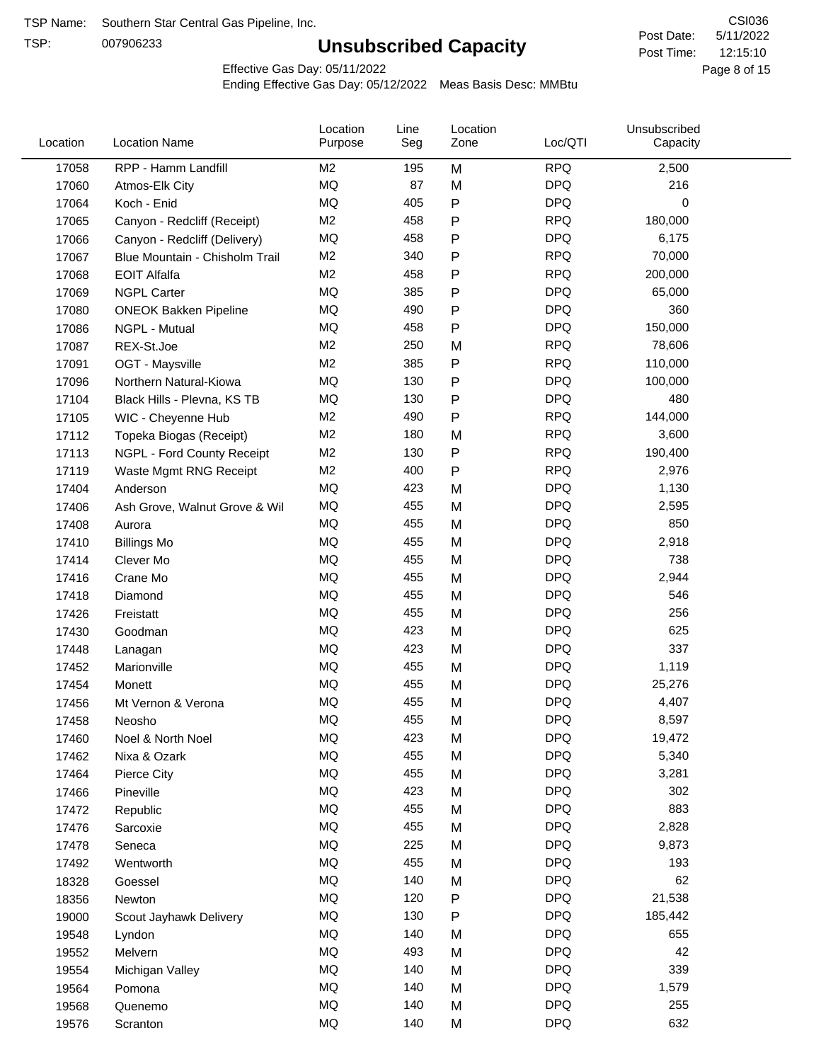TSP:

# **Unsubscribed Capacity**

5/11/2022 Page 8 of 15 12:15:10 CSI036 Post Date: Post Time:

Effective Gas Day: 05/11/2022

| Location | <b>Location Name</b>           | Location<br>Purpose | Line<br>Seg | Location<br>Zone | Loc/QTI    | Unsubscribed<br>Capacity |  |
|----------|--------------------------------|---------------------|-------------|------------------|------------|--------------------------|--|
| 17058    | RPP - Hamm Landfill            | M2                  | 195         | M                | <b>RPQ</b> | 2,500                    |  |
| 17060    | Atmos-Elk City                 | MQ                  | 87          | M                | <b>DPQ</b> | 216                      |  |
| 17064    | Koch - Enid                    | MQ                  | 405         | ${\sf P}$        | <b>DPQ</b> | 0                        |  |
| 17065    | Canyon - Redcliff (Receipt)    | M <sub>2</sub>      | 458         | $\mathsf{P}$     | <b>RPQ</b> | 180,000                  |  |
| 17066    | Canyon - Redcliff (Delivery)   | MQ                  | 458         | P                | <b>DPQ</b> | 6,175                    |  |
| 17067    | Blue Mountain - Chisholm Trail | M2                  | 340         | ${\sf P}$        | <b>RPQ</b> | 70,000                   |  |
| 17068    | <b>EOIT Alfalfa</b>            | M <sub>2</sub>      | 458         | P                | <b>RPQ</b> | 200,000                  |  |
| 17069    | <b>NGPL Carter</b>             | MQ                  | 385         | ${\sf P}$        | <b>DPQ</b> | 65,000                   |  |
| 17080    | <b>ONEOK Bakken Pipeline</b>   | MQ                  | 490         | $\mathsf{P}$     | <b>DPQ</b> | 360                      |  |
| 17086    | NGPL - Mutual                  | MQ                  | 458         | ${\sf P}$        | <b>DPQ</b> | 150,000                  |  |
| 17087    | REX-St.Joe                     | M <sub>2</sub>      | 250         | M                | <b>RPQ</b> | 78,606                   |  |
| 17091    | OGT - Maysville                | M <sub>2</sub>      | 385         | ${\sf P}$        | <b>RPQ</b> | 110,000                  |  |
| 17096    | Northern Natural-Kiowa         | MQ                  | 130         | ${\sf P}$        | <b>DPQ</b> | 100,000                  |  |
| 17104    | Black Hills - Plevna, KS TB    | MQ                  | 130         | P                | <b>DPQ</b> | 480                      |  |
| 17105    | WIC - Cheyenne Hub             | M <sub>2</sub>      | 490         | ${\sf P}$        | <b>RPQ</b> | 144,000                  |  |
| 17112    | Topeka Biogas (Receipt)        | M2                  | 180         | M                | <b>RPQ</b> | 3,600                    |  |
| 17113    | NGPL - Ford County Receipt     | M <sub>2</sub>      | 130         | ${\sf P}$        | <b>RPQ</b> | 190,400                  |  |
| 17119    | Waste Mgmt RNG Receipt         | M2                  | 400         | P                | <b>RPQ</b> | 2,976                    |  |
| 17404    | Anderson                       | <b>MQ</b>           | 423         | M                | <b>DPQ</b> | 1,130                    |  |
| 17406    | Ash Grove, Walnut Grove & Wil  | MQ                  | 455         | M                | <b>DPQ</b> | 2,595                    |  |
| 17408    | Aurora                         | MQ                  | 455         | M                | <b>DPQ</b> | 850                      |  |
| 17410    | <b>Billings Mo</b>             | <b>MQ</b>           | 455         | M                | <b>DPQ</b> | 2,918                    |  |
| 17414    | Clever Mo                      | <b>MQ</b>           | 455         | M                | <b>DPQ</b> | 738                      |  |
| 17416    | Crane Mo                       | <b>MQ</b>           | 455         | M                | <b>DPQ</b> | 2,944                    |  |
| 17418    | Diamond                        | MQ                  | 455         | M                | <b>DPQ</b> | 546                      |  |
| 17426    | Freistatt                      | MQ                  | 455         | M                | <b>DPQ</b> | 256                      |  |
| 17430    | Goodman                        | <b>MQ</b>           | 423         | M                | <b>DPQ</b> | 625                      |  |
| 17448    | Lanagan                        | <b>MQ</b>           | 423         | M                | <b>DPQ</b> | 337                      |  |
| 17452    | Marionville                    | <b>MQ</b>           | 455         | M                | <b>DPQ</b> | 1,119                    |  |
| 17454    | <b>Monett</b>                  | MQ                  | 455         | M                | <b>DPQ</b> | 25,276                   |  |
| 17456    | Mt Vernon & Verona             | MQ                  | 455         | M                | <b>DPQ</b> | 4,407                    |  |
| 17458    | Neosho                         | MQ                  | 455         | M                | <b>DPQ</b> | 8,597                    |  |
| 17460    | Noel & North Noel              | MQ                  | 423         | M                | <b>DPQ</b> | 19,472                   |  |
| 17462    | Nixa & Ozark                   | $\sf{MQ}$           | 455         | M                | <b>DPQ</b> | 5,340                    |  |
| 17464    | Pierce City                    | MQ                  | 455         | M                | <b>DPQ</b> | 3,281                    |  |
| 17466    | Pineville                      | MQ                  | 423         | M                | <b>DPQ</b> | 302                      |  |
| 17472    | Republic                       | MQ                  | 455         | M                | DPQ        | 883                      |  |
| 17476    | Sarcoxie                       | MQ                  | 455         | M                | <b>DPQ</b> | 2,828                    |  |
| 17478    | Seneca                         | MQ                  | 225         | M                | <b>DPQ</b> | 9,873                    |  |
| 17492    | Wentworth                      | MQ                  | 455         | M                | <b>DPQ</b> | 193                      |  |
| 18328    | Goessel                        | MQ                  | 140         | M                | <b>DPQ</b> | 62                       |  |
| 18356    | Newton                         | MQ                  | 120         | P                | <b>DPQ</b> | 21,538                   |  |
| 19000    | Scout Jayhawk Delivery         | MQ                  | 130         | P                | <b>DPQ</b> | 185,442                  |  |
| 19548    | Lyndon                         | MQ                  | 140         | M                | <b>DPQ</b> | 655                      |  |
| 19552    | Melvern                        | MQ                  | 493         | M                | <b>DPQ</b> | 42                       |  |
| 19554    | Michigan Valley                | MQ                  | 140         | M                | <b>DPQ</b> | 339                      |  |
| 19564    | Pomona                         | MQ                  | 140         | M                | <b>DPQ</b> | 1,579                    |  |
| 19568    | Quenemo                        | MQ                  | 140         | M                | <b>DPQ</b> | 255                      |  |
| 19576    | Scranton                       | $\sf{MQ}$           | 140         | M                | <b>DPQ</b> | 632                      |  |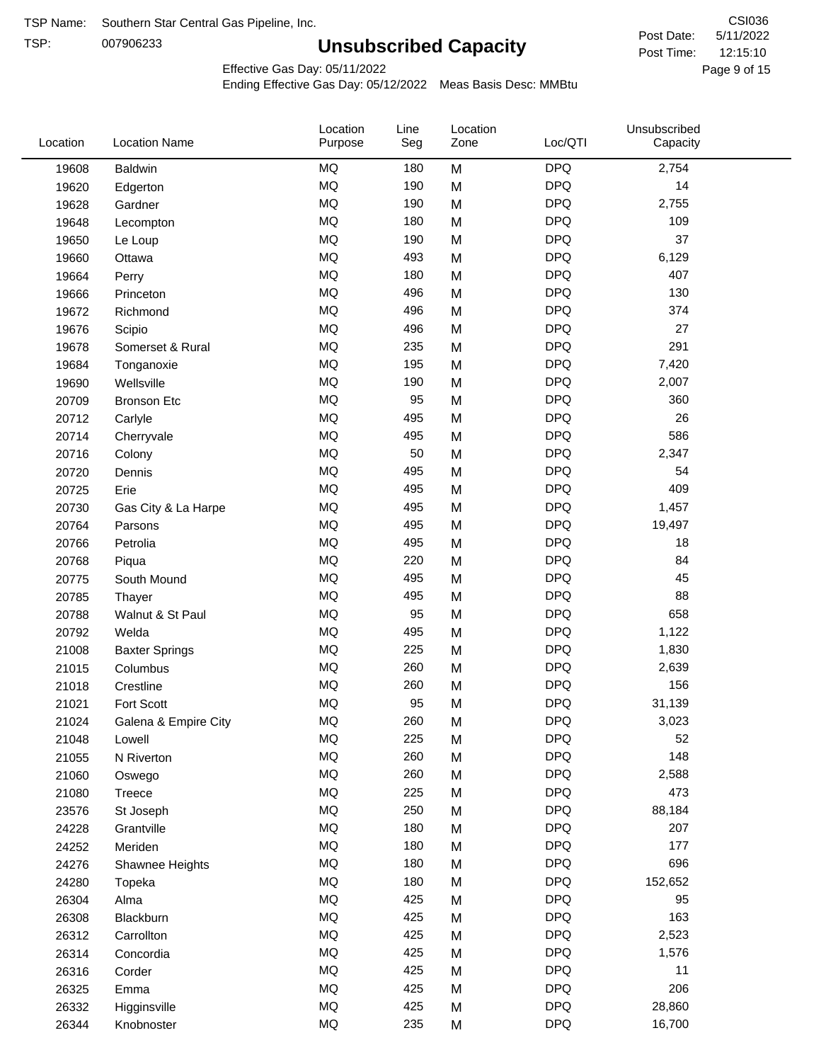TSP:

# **Unsubscribed Capacity**

5/11/2022 Page 9 of 15 12:15:10 CSI036 Post Date: Post Time:

Effective Gas Day: 05/11/2022

| Location | <b>Location Name</b>  | Location<br>Purpose | Line<br>Seg | Location<br>Zone | Loc/QTI    | Unsubscribed<br>Capacity |  |
|----------|-----------------------|---------------------|-------------|------------------|------------|--------------------------|--|
| 19608    | <b>Baldwin</b>        | <b>MQ</b>           | 180         | M                | <b>DPQ</b> | 2,754                    |  |
| 19620    | Edgerton              | <b>MQ</b>           | 190         | M                | <b>DPQ</b> | 14                       |  |
| 19628    | Gardner               | MQ                  | 190         | M                | <b>DPQ</b> | 2,755                    |  |
| 19648    | Lecompton             | <b>MQ</b>           | 180         | M                | <b>DPQ</b> | 109                      |  |
| 19650    | Le Loup               | <b>MQ</b>           | 190         | M                | <b>DPQ</b> | 37                       |  |
| 19660    | Ottawa                | MQ                  | 493         | M                | <b>DPQ</b> | 6,129                    |  |
| 19664    | Perry                 | <b>MQ</b>           | 180         | M                | <b>DPQ</b> | 407                      |  |
| 19666    | Princeton             | MQ                  | 496         | M                | <b>DPQ</b> | 130                      |  |
| 19672    | Richmond              | <b>MQ</b>           | 496         | M                | <b>DPQ</b> | 374                      |  |
| 19676    | Scipio                | MQ                  | 496         | M                | <b>DPQ</b> | 27                       |  |
| 19678    | Somerset & Rural      | MQ                  | 235         | M                | <b>DPQ</b> | 291                      |  |
| 19684    | Tonganoxie            | <b>MQ</b>           | 195         | M                | <b>DPQ</b> | 7,420                    |  |
| 19690    | Wellsville            | MQ                  | 190         | M                | <b>DPQ</b> | 2,007                    |  |
| 20709    | <b>Bronson Etc</b>    | <b>MQ</b>           | 95          | M                | <b>DPQ</b> | 360                      |  |
| 20712    | Carlyle               | <b>MQ</b>           | 495         | M                | <b>DPQ</b> | 26                       |  |
| 20714    | Cherryvale            | <b>MQ</b>           | 495         | M                | <b>DPQ</b> | 586                      |  |
| 20716    | Colony                | MQ                  | 50          | M                | <b>DPQ</b> | 2,347                    |  |
| 20720    | Dennis                | <b>MQ</b>           | 495         | M                | <b>DPQ</b> | 54                       |  |
| 20725    | Erie                  | <b>MQ</b>           | 495         | M                | <b>DPQ</b> | 409                      |  |
| 20730    | Gas City & La Harpe   | MQ                  | 495         | M                | <b>DPQ</b> | 1,457                    |  |
| 20764    | Parsons               | <b>MQ</b>           | 495         | M                | <b>DPQ</b> | 19,497                   |  |
| 20766    | Petrolia              | MQ                  | 495         | M                | <b>DPQ</b> | 18                       |  |
| 20768    | Piqua                 | <b>MQ</b>           | 220         | M                | <b>DPQ</b> | 84                       |  |
| 20775    | South Mound           | <b>MQ</b>           | 495         | M                | <b>DPQ</b> | 45                       |  |
| 20785    | Thayer                | MQ                  | 495         | M                | <b>DPQ</b> | 88                       |  |
| 20788    | Walnut & St Paul      | MQ                  | 95          | M                | <b>DPQ</b> | 658                      |  |
| 20792    | Welda                 | <b>MQ</b>           | 495         | M                | <b>DPQ</b> | 1,122                    |  |
| 21008    | <b>Baxter Springs</b> | MQ                  | 225         | M                | <b>DPQ</b> | 1,830                    |  |
| 21015    | Columbus              | MQ                  | 260         | M                | <b>DPQ</b> | 2,639                    |  |
| 21018    | Crestline             | <b>MQ</b>           | 260         | M                | <b>DPQ</b> | 156                      |  |
| 21021    | Fort Scott            | <b>MQ</b>           | 95          | M                | <b>DPQ</b> | 31,139                   |  |
| 21024    | Galena & Empire City  | <b>MQ</b>           | 260         | M                | <b>DPQ</b> | 3,023                    |  |
| 21048    | Lowell                | MQ                  | 225         | M                | <b>DPQ</b> | 52                       |  |
| 21055    | N Riverton            | MQ                  | 260         | M                | <b>DPQ</b> | 148                      |  |
| 21060    | Oswego                | <b>MQ</b>           | 260         | M                | <b>DPQ</b> | 2,588                    |  |
| 21080    | Treece                | MQ                  | 225         | M                | <b>DPQ</b> | 473                      |  |
| 23576    | St Joseph             | MQ                  | 250         | M                | <b>DPQ</b> | 88,184                   |  |
| 24228    | Grantville            | MQ                  | 180         | M                | <b>DPQ</b> | 207                      |  |
| 24252    | Meriden               | MQ                  | 180         | M                | <b>DPQ</b> | 177                      |  |
| 24276    | Shawnee Heights       | MQ                  | 180         | M                | <b>DPQ</b> | 696                      |  |
| 24280    | Topeka                | MQ                  | 180         | M                | <b>DPQ</b> | 152,652                  |  |
| 26304    | Alma                  | MQ                  | 425         | M                | <b>DPQ</b> | 95                       |  |
| 26308    | Blackburn             | MQ                  | 425         | M                | <b>DPQ</b> | 163                      |  |
| 26312    | Carrollton            | <b>MQ</b>           | 425         | M                | <b>DPQ</b> | 2,523                    |  |
| 26314    | Concordia             | <b>MQ</b>           | 425         | M                | <b>DPQ</b> | 1,576                    |  |
| 26316    | Corder                | MQ                  | 425         | M                | <b>DPQ</b> | 11                       |  |
| 26325    | Emma                  | MQ                  | 425         | M                | <b>DPQ</b> | 206                      |  |
| 26332    | Higginsville          | MQ                  | 425         | M                | <b>DPQ</b> | 28,860                   |  |
| 26344    | Knobnoster            | <b>MQ</b>           | 235         | M                | <b>DPQ</b> | 16,700                   |  |
|          |                       |                     |             |                  |            |                          |  |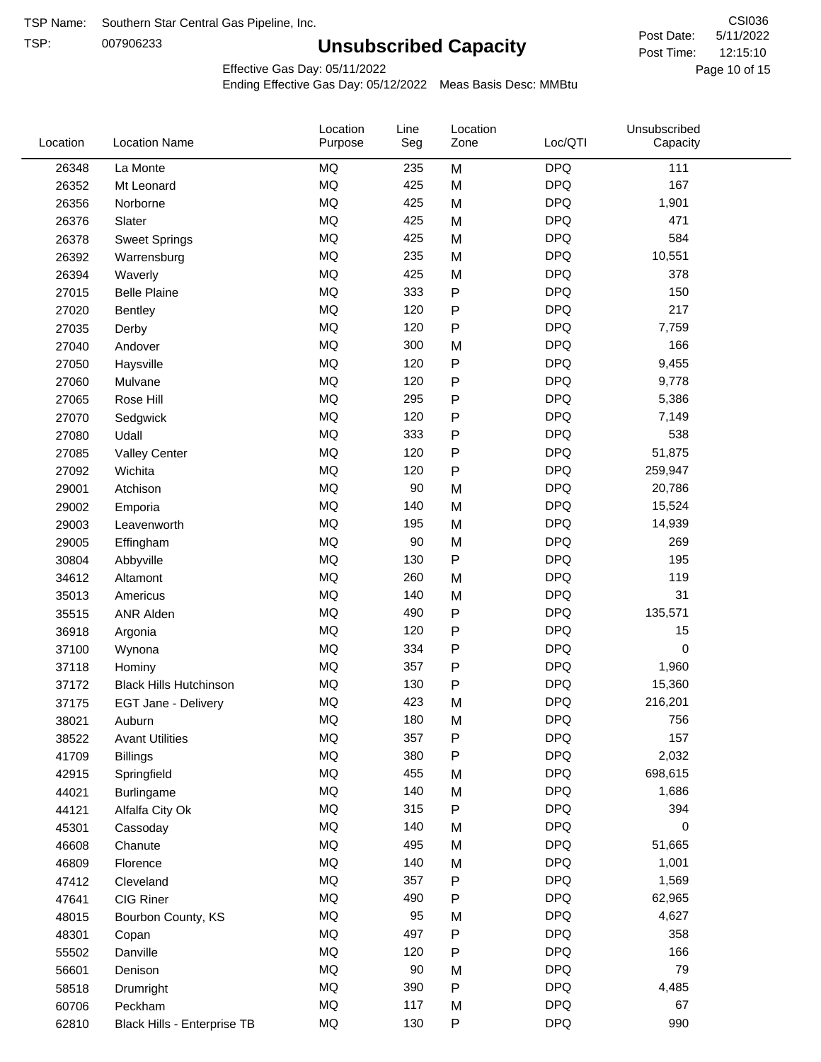TSP:

# **Unsubscribed Capacity**

5/11/2022 Page 10 of 15 12:15:10 CSI036 Post Date: Post Time:

Effective Gas Day: 05/11/2022

| Location | <b>Location Name</b>          | Location<br>Purpose | Line<br>Seg | Location<br>Zone | Loc/QTI    | Unsubscribed<br>Capacity |  |
|----------|-------------------------------|---------------------|-------------|------------------|------------|--------------------------|--|
| 26348    | La Monte                      | MQ                  | 235         | M                | <b>DPQ</b> | 111                      |  |
| 26352    | Mt Leonard                    | MQ                  | 425         | M                | <b>DPQ</b> | 167                      |  |
| 26356    | Norborne                      | <b>MQ</b>           | 425         | M                | <b>DPQ</b> | 1,901                    |  |
| 26376    | Slater                        | MQ                  | 425         | M                | <b>DPQ</b> | 471                      |  |
| 26378    | <b>Sweet Springs</b>          | MQ                  | 425         | M                | <b>DPQ</b> | 584                      |  |
| 26392    | Warrensburg                   | <b>MQ</b>           | 235         | M                | <b>DPQ</b> | 10,551                   |  |
| 26394    | Waverly                       | MQ                  | 425         | M                | <b>DPQ</b> | 378                      |  |
| 27015    | <b>Belle Plaine</b>           | <b>MQ</b>           | 333         | P                | <b>DPQ</b> | 150                      |  |
| 27020    | Bentley                       | MQ                  | 120         | P                | <b>DPQ</b> | 217                      |  |
| 27035    | Derby                         | <b>MQ</b>           | 120         | ${\sf P}$        | <b>DPQ</b> | 7,759                    |  |
| 27040    | Andover                       | <b>MQ</b>           | 300         | M                | <b>DPQ</b> | 166                      |  |
| 27050    | Haysville                     | MQ                  | 120         | ${\sf P}$        | <b>DPQ</b> | 9,455                    |  |
| 27060    | Mulvane                       | <b>MQ</b>           | 120         | $\sf P$          | <b>DPQ</b> | 9,778                    |  |
| 27065    | Rose Hill                     | <b>MQ</b>           | 295         | ${\sf P}$        | <b>DPQ</b> | 5,386                    |  |
| 27070    | Sedgwick                      | <b>MQ</b>           | 120         | P                | <b>DPQ</b> | 7,149                    |  |
| 27080    | Udall                         | MQ                  | 333         | P                | <b>DPQ</b> | 538                      |  |
| 27085    | <b>Valley Center</b>          | MQ                  | 120         | $\mathsf{P}$     | <b>DPQ</b> | 51,875                   |  |
| 27092    | Wichita                       | <b>MQ</b>           | 120         | P                | <b>DPQ</b> | 259,947                  |  |
| 29001    | Atchison                      | MQ                  | 90          | M                | <b>DPQ</b> | 20,786                   |  |
| 29002    | Emporia                       | MQ                  | 140         | M                | <b>DPQ</b> | 15,524                   |  |
| 29003    | Leavenworth                   | MQ                  | 195         | M                | <b>DPQ</b> | 14,939                   |  |
| 29005    | Effingham                     | <b>MQ</b>           | 90          | M                | <b>DPQ</b> | 269                      |  |
| 30804    | Abbyville                     | <b>MQ</b>           | 130         | P                | <b>DPQ</b> | 195                      |  |
| 34612    | Altamont                      | <b>MQ</b>           | 260         | M                | <b>DPQ</b> | 119                      |  |
| 35013    | Americus                      | MQ                  | 140         | M                | <b>DPQ</b> | 31                       |  |
| 35515    | <b>ANR Alden</b>              | MQ                  | 490         | ${\sf P}$        | <b>DPQ</b> | 135,571                  |  |
| 36918    | Argonia                       | <b>MQ</b>           | 120         | P                | <b>DPQ</b> | 15                       |  |
| 37100    | Wynona                        | <b>MQ</b>           | 334         | P                | <b>DPQ</b> | 0                        |  |
| 37118    | Hominy                        | MQ                  | 357         | P                | <b>DPQ</b> | 1,960                    |  |
| 37172    | <b>Black Hills Hutchinson</b> | MQ                  | 130         | P                | <b>DPQ</b> | 15,360                   |  |
| 37175    | EGT Jane - Delivery           | <b>MQ</b>           | 423         | M                | <b>DPQ</b> | 216,201                  |  |
| 38021    | Auburn                        | MQ                  | 180         | M                | <b>DPQ</b> | 756                      |  |
| 38522    | <b>Avant Utilities</b>        | MQ                  | 357         | P                | <b>DPQ</b> | 157                      |  |
| 41709    | <b>Billings</b>               | $\sf{MQ}$           | 380         | P                | <b>DPQ</b> | 2,032                    |  |
| 42915    | Springfield                   | MQ                  | 455         | M                | <b>DPQ</b> | 698,615                  |  |
| 44021    | Burlingame                    | MQ                  | 140         | M                | <b>DPQ</b> | 1,686                    |  |
| 44121    | Alfalfa City Ok               | MQ                  | 315         | P                | <b>DPQ</b> | 394                      |  |
| 45301    | Cassoday                      | MQ                  | 140         | M                | <b>DPQ</b> | 0                        |  |
| 46608    | Chanute                       | $\sf{MQ}$           | 495         | M                | <b>DPQ</b> | 51,665                   |  |
| 46809    | Florence                      | MQ                  | 140         | M                | <b>DPQ</b> | 1,001                    |  |
| 47412    | Cleveland                     | MQ                  | 357         | P                | <b>DPQ</b> | 1,569                    |  |
| 47641    | CIG Riner                     | MQ                  | 490         | P                | <b>DPQ</b> | 62,965                   |  |
| 48015    | Bourbon County, KS            | $\sf{MQ}$           | 95          | M                | <b>DPQ</b> | 4,627                    |  |
| 48301    | Copan                         | MQ                  | 497         | P                | <b>DPQ</b> | 358                      |  |
| 55502    | Danville                      | MQ                  | 120         | P                | <b>DPQ</b> | 166                      |  |
| 56601    | Denison                       | MQ                  | 90          | M                | <b>DPQ</b> | 79                       |  |
| 58518    | Drumright                     | MQ                  | 390         | P                | <b>DPQ</b> | 4,485                    |  |
| 60706    | Peckham                       | $\sf{MQ}$           | 117         | M                | <b>DPQ</b> | 67                       |  |
| 62810    | Black Hills - Enterprise TB   | MQ                  | 130         | P                | <b>DPQ</b> | 990                      |  |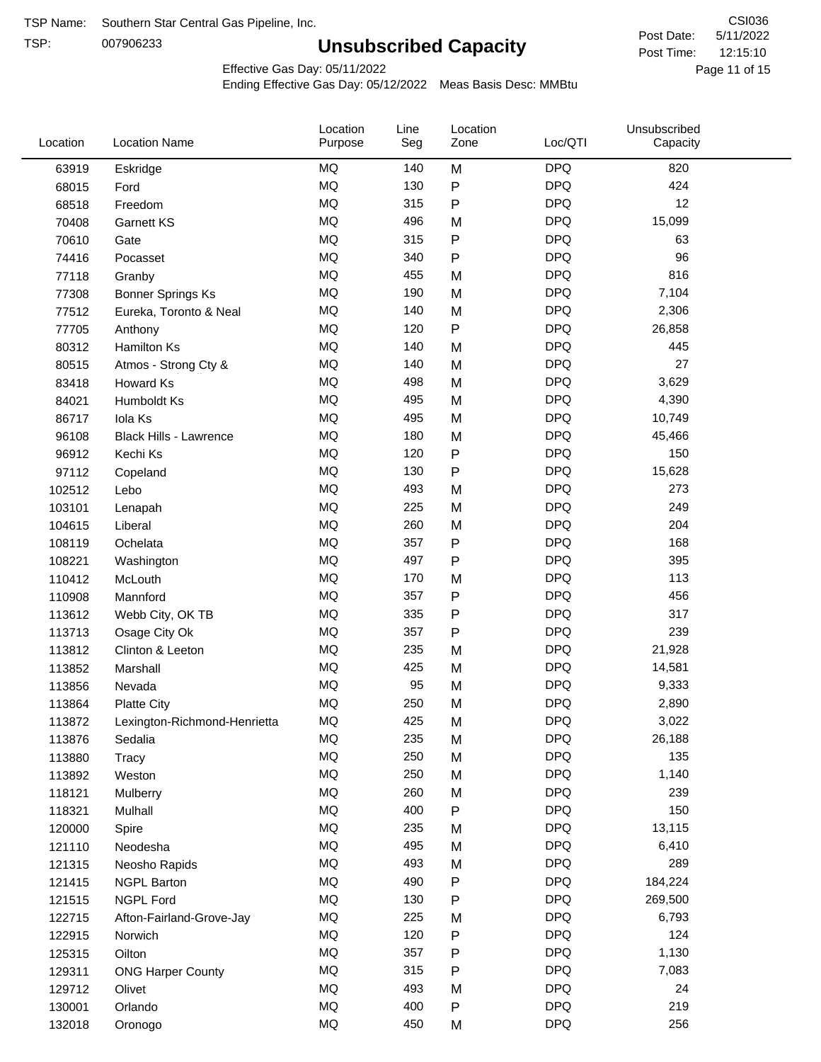TSP:

# **Unsubscribed Capacity**

5/11/2022 Page 11 of 15 12:15:10 CSI036 Post Date: Post Time:

Effective Gas Day: 05/11/2022

| Location | <b>Location Name</b>          | Location<br>Purpose | Line<br>Seg | Location<br>Zone | Loc/QTI    | Unsubscribed<br>Capacity |  |
|----------|-------------------------------|---------------------|-------------|------------------|------------|--------------------------|--|
| 63919    | Eskridge                      | <b>MQ</b>           | 140         | M                | <b>DPQ</b> | 820                      |  |
| 68015    | Ford                          | MQ                  | 130         | P                | <b>DPQ</b> | 424                      |  |
| 68518    | Freedom                       | <b>MQ</b>           | 315         | P                | <b>DPQ</b> | 12                       |  |
| 70408    | <b>Garnett KS</b>             | <b>MQ</b>           | 496         | M                | <b>DPQ</b> | 15,099                   |  |
| 70610    | Gate                          | MQ                  | 315         | P                | <b>DPQ</b> | 63                       |  |
| 74416    | Pocasset                      | MQ                  | 340         | P                | <b>DPQ</b> | 96                       |  |
| 77118    | Granby                        | <b>MQ</b>           | 455         | M                | <b>DPQ</b> | 816                      |  |
| 77308    | Bonner Springs Ks             | <b>MQ</b>           | 190         | M                | <b>DPQ</b> | 7,104                    |  |
| 77512    | Eureka, Toronto & Neal        | MQ                  | 140         | M                | <b>DPQ</b> | 2,306                    |  |
| 77705    | Anthony                       | MQ                  | 120         | P                | <b>DPQ</b> | 26,858                   |  |
| 80312    | <b>Hamilton Ks</b>            | MQ                  | 140         | M                | <b>DPQ</b> | 445                      |  |
| 80515    | Atmos - Strong Cty &          | <b>MQ</b>           | 140         | M                | <b>DPQ</b> | 27                       |  |
| 83418    | Howard Ks                     | <b>MQ</b>           | 498         | M                | <b>DPQ</b> | 3,629                    |  |
| 84021    | Humboldt Ks                   | <b>MQ</b>           | 495         | M                | <b>DPQ</b> | 4,390                    |  |
| 86717    | Iola Ks                       | MQ                  | 495         | M                | <b>DPQ</b> | 10,749                   |  |
| 96108    | <b>Black Hills - Lawrence</b> | <b>MQ</b>           | 180         | M                | <b>DPQ</b> | 45,466                   |  |
| 96912    | Kechi Ks                      | MQ                  | 120         | P                | <b>DPQ</b> | 150                      |  |
| 97112    | Copeland                      | MQ                  | 130         | Ρ                | <b>DPQ</b> | 15,628                   |  |
| 102512   | Lebo                          | MQ                  | 493         | M                | <b>DPQ</b> | 273                      |  |
| 103101   | Lenapah                       | <b>MQ</b>           | 225         | M                | <b>DPQ</b> | 249                      |  |
| 104615   | Liberal                       | <b>MQ</b>           | 260         | M                | <b>DPQ</b> | 204                      |  |
| 108119   | Ochelata                      | <b>MQ</b>           | 357         | P                | <b>DPQ</b> | 168                      |  |
| 108221   | Washington                    | <b>MQ</b>           | 497         | P                | <b>DPQ</b> | 395                      |  |
| 110412   | McLouth                       | <b>MQ</b>           | 170         | M                | <b>DPQ</b> | 113                      |  |
| 110908   | Mannford                      | MQ                  | 357         | P                | <b>DPQ</b> | 456                      |  |
| 113612   | Webb City, OK TB              | <b>MQ</b>           | 335         | P                | <b>DPQ</b> | 317                      |  |
| 113713   | Osage City Ok                 | MQ                  | 357         | P                | <b>DPQ</b> | 239                      |  |
| 113812   | Clinton & Leeton              | MQ                  | 235         | M                | <b>DPQ</b> | 21,928                   |  |
| 113852   | Marshall                      | <b>MQ</b>           | 425         | M                | <b>DPQ</b> | 14,581                   |  |
| 113856   | Nevada                        | <b>MQ</b>           | 95          | M                | <b>DPQ</b> | 9,333                    |  |
| 113864   | <b>Platte City</b>            | <b>MQ</b>           | 250         | M                | <b>DPQ</b> | 2,890                    |  |
| 113872   | Lexington-Richmond-Henrietta  | MQ                  | 425         | M                | <b>DPQ</b> | 3,022                    |  |
| 113876   | Sedalia                       | ΜQ                  | 235         | M                | <b>DPQ</b> | 26,188                   |  |
| 113880   | Tracy                         | MQ                  | 250         | M                | <b>DPQ</b> | 135                      |  |
| 113892   | Weston                        | MQ                  | 250         | M                | <b>DPQ</b> | 1,140                    |  |
| 118121   | Mulberry                      | MQ                  | 260         | M                | <b>DPQ</b> | 239                      |  |
| 118321   | Mulhall                       | MQ                  | 400         | ${\sf P}$        | <b>DPQ</b> | 150                      |  |
| 120000   | Spire                         | MQ                  | 235         | M                | <b>DPQ</b> | 13,115                   |  |
| 121110   | Neodesha                      | MQ                  | 495         | M                | <b>DPQ</b> | 6,410                    |  |
| 121315   | Neosho Rapids                 | $\sf{MQ}$           | 493         | M                | <b>DPQ</b> | 289                      |  |
| 121415   | <b>NGPL Barton</b>            | MQ                  | 490         | Ρ                | <b>DPQ</b> | 184,224                  |  |
| 121515   | <b>NGPL Ford</b>              | MQ                  | 130         | P                | <b>DPQ</b> | 269,500                  |  |
| 122715   | Afton-Fairland-Grove-Jay      | MQ                  | 225         | M                | <b>DPQ</b> | 6,793                    |  |
| 122915   | Norwich                       | MQ                  | 120         | Ρ                | <b>DPQ</b> | 124                      |  |
| 125315   | Oilton                        | MQ                  | 357         | Ρ                | <b>DPQ</b> | 1,130                    |  |
| 129311   | <b>ONG Harper County</b>      | MQ                  | 315         | Ρ                | <b>DPQ</b> | 7,083                    |  |
| 129712   | Olivet                        | MQ                  | 493         | M                | <b>DPQ</b> | 24                       |  |
| 130001   | Orlando                       | MQ                  | 400         | Ρ                | <b>DPQ</b> | 219                      |  |
| 132018   | Oronogo                       | $\sf{MQ}$           | 450         | M                | <b>DPQ</b> | 256                      |  |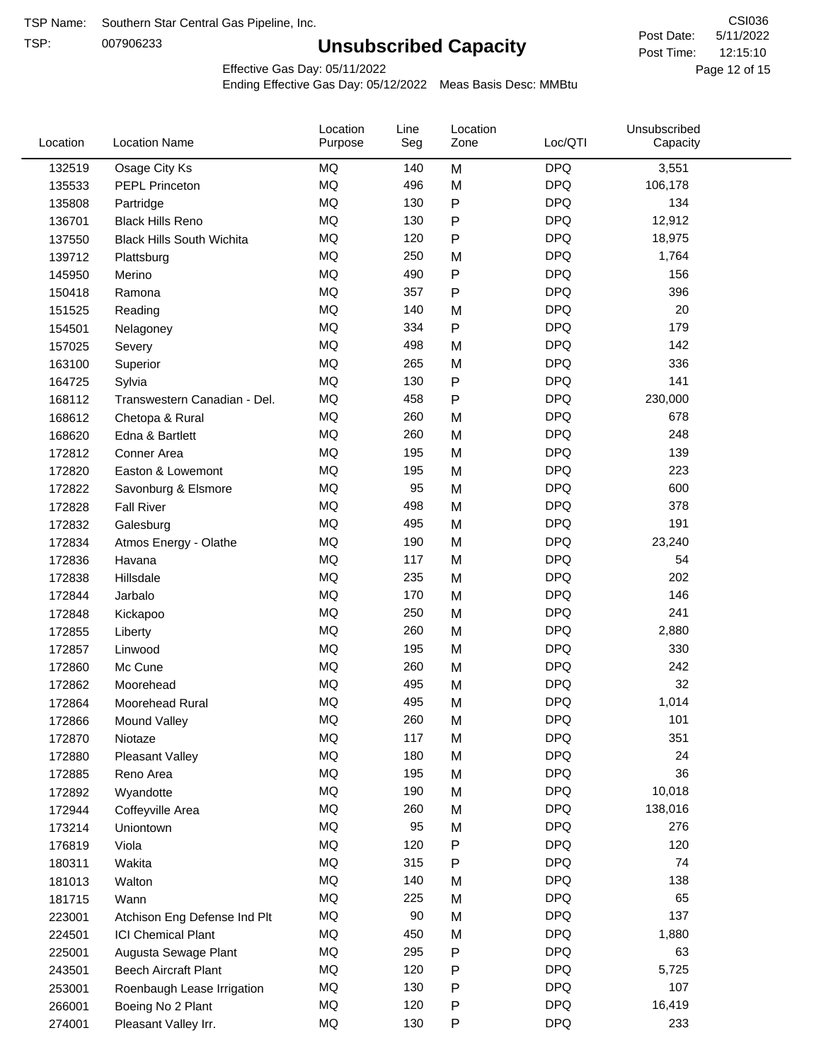TSP:

# **Unsubscribed Capacity**

5/11/2022 Page 12 of 15 12:15:10 CSI036 Post Date: Post Time:

Effective Gas Day: 05/11/2022

| Location | <b>Location Name</b>             | Location<br>Purpose | Line<br>Seg | Location<br>Zone | Loc/QTI    | Unsubscribed<br>Capacity |  |
|----------|----------------------------------|---------------------|-------------|------------------|------------|--------------------------|--|
| 132519   | Osage City Ks                    | MQ                  | 140         | M                | <b>DPQ</b> | 3,551                    |  |
| 135533   | <b>PEPL Princeton</b>            | MQ                  | 496         | M                | <b>DPQ</b> | 106,178                  |  |
| 135808   | Partridge                        | MQ                  | 130         | ${\sf P}$        | <b>DPQ</b> | 134                      |  |
| 136701   | <b>Black Hills Reno</b>          | <b>MQ</b>           | 130         | $\mathsf{P}$     | <b>DPQ</b> | 12,912                   |  |
| 137550   | <b>Black Hills South Wichita</b> | <b>MQ</b>           | 120         | $\mathsf{P}$     | <b>DPQ</b> | 18,975                   |  |
| 139712   | Plattsburg                       | <b>MQ</b>           | 250         | M                | <b>DPQ</b> | 1,764                    |  |
| 145950   | Merino                           | <b>MQ</b>           | 490         | $\mathsf{P}$     | <b>DPQ</b> | 156                      |  |
| 150418   | Ramona                           | <b>MQ</b>           | 357         | $\mathsf{P}$     | <b>DPQ</b> | 396                      |  |
| 151525   | Reading                          | <b>MQ</b>           | 140         | M                | <b>DPQ</b> | 20                       |  |
| 154501   | Nelagoney                        | <b>MQ</b>           | 334         | $\mathsf{P}$     | <b>DPQ</b> | 179                      |  |
| 157025   | Severy                           | MQ                  | 498         | M                | <b>DPQ</b> | 142                      |  |
| 163100   | Superior                         | MQ                  | 265         | M                | <b>DPQ</b> | 336                      |  |
| 164725   | Sylvia                           | MQ                  | 130         | $\mathsf{P}$     | <b>DPQ</b> | 141                      |  |
| 168112   | Transwestern Canadian - Del.     | <b>MQ</b>           | 458         | $\mathsf{P}$     | <b>DPQ</b> | 230,000                  |  |
| 168612   | Chetopa & Rural                  | <b>MQ</b>           | 260         | M                | <b>DPQ</b> | 678                      |  |
| 168620   | Edna & Bartlett                  | <b>MQ</b>           | 260         | M                | <b>DPQ</b> | 248                      |  |
| 172812   | Conner Area                      | MQ                  | 195         | M                | <b>DPQ</b> | 139                      |  |
| 172820   | Easton & Lowemont                | MQ                  | 195         | M                | <b>DPQ</b> | 223                      |  |
| 172822   | Savonburg & Elsmore              | MQ                  | 95          | M                | <b>DPQ</b> | 600                      |  |
| 172828   | <b>Fall River</b>                | <b>MQ</b>           | 498         | M                | <b>DPQ</b> | 378                      |  |
| 172832   | Galesburg                        | MQ                  | 495         | M                | <b>DPQ</b> | 191                      |  |
| 172834   | Atmos Energy - Olathe            | MQ                  | 190         | M                | <b>DPQ</b> | 23,240                   |  |
| 172836   | Havana                           | <b>MQ</b>           | 117         | M                | <b>DPQ</b> | 54                       |  |
| 172838   | Hillsdale                        | <b>MQ</b>           | 235         | M                | <b>DPQ</b> | 202                      |  |
| 172844   | Jarbalo                          | <b>MQ</b>           | 170         | M                | <b>DPQ</b> | 146                      |  |
| 172848   | Kickapoo                         | MQ                  | 250         | M                | <b>DPQ</b> | 241                      |  |
| 172855   | Liberty                          | <b>MQ</b>           | 260         | M                | <b>DPQ</b> | 2,880                    |  |
| 172857   | Linwood                          | <b>MQ</b>           | 195         | M                | <b>DPQ</b> | 330                      |  |
| 172860   | Mc Cune                          | <b>MQ</b>           | 260         | M                | <b>DPQ</b> | 242                      |  |
| 172862   | Moorehead                        | <b>MQ</b>           | 495         | M                | <b>DPQ</b> | 32                       |  |
| 172864   | Moorehead Rural                  | MQ                  | 495         | M                | <b>DPQ</b> | 1,014                    |  |
| 172866   | Mound Valley                     | MQ                  | 260         | M                | <b>DPQ</b> | 101                      |  |
| 172870   | Niotaze                          | MQ                  | 117         | M                | <b>DPQ</b> | 351                      |  |
| 172880   | Pleasant Valley                  | $\sf{MQ}$           | 180         | M                | <b>DPQ</b> | 24                       |  |
| 172885   | Reno Area                        | MQ                  | 195         | M                | <b>DPQ</b> | 36                       |  |
| 172892   | Wyandotte                        | MQ                  | 190         | M                | <b>DPQ</b> | 10,018                   |  |
| 172944   | Coffeyville Area                 | MQ                  | 260         | M                | <b>DPQ</b> | 138,016                  |  |
| 173214   | Uniontown                        | MQ                  | 95          | M                | <b>DPQ</b> | 276                      |  |
| 176819   | Viola                            | MQ                  | 120         | $\mathsf{P}$     | <b>DPQ</b> | 120                      |  |
| 180311   | Wakita                           | MQ                  | 315         | $\mathsf{P}$     | <b>DPQ</b> | 74                       |  |
| 181013   | Walton                           | MQ                  | 140         | M                | <b>DPQ</b> | 138                      |  |
| 181715   | Wann                             | MQ                  | 225         | M                | <b>DPQ</b> | 65                       |  |
| 223001   | Atchison Eng Defense Ind Plt     | $\sf{MQ}$           | 90          | M                | <b>DPQ</b> | 137                      |  |
| 224501   | <b>ICI Chemical Plant</b>        | MQ                  | 450         | M                | <b>DPQ</b> | 1,880                    |  |
| 225001   | Augusta Sewage Plant             | MQ                  | 295         | $\mathsf{P}$     | <b>DPQ</b> | 63                       |  |
| 243501   | <b>Beech Aircraft Plant</b>      | MQ                  | 120         | $\mathsf{P}$     | <b>DPQ</b> | 5,725                    |  |
| 253001   | Roenbaugh Lease Irrigation       | MQ                  | 130         | ${\sf P}$        | <b>DPQ</b> | 107                      |  |
| 266001   | Boeing No 2 Plant                | MQ                  | 120         | ${\sf P}$        | <b>DPQ</b> | 16,419                   |  |
| 274001   | Pleasant Valley Irr.             | MQ                  | 130         | ${\sf P}$        | <b>DPQ</b> | 233                      |  |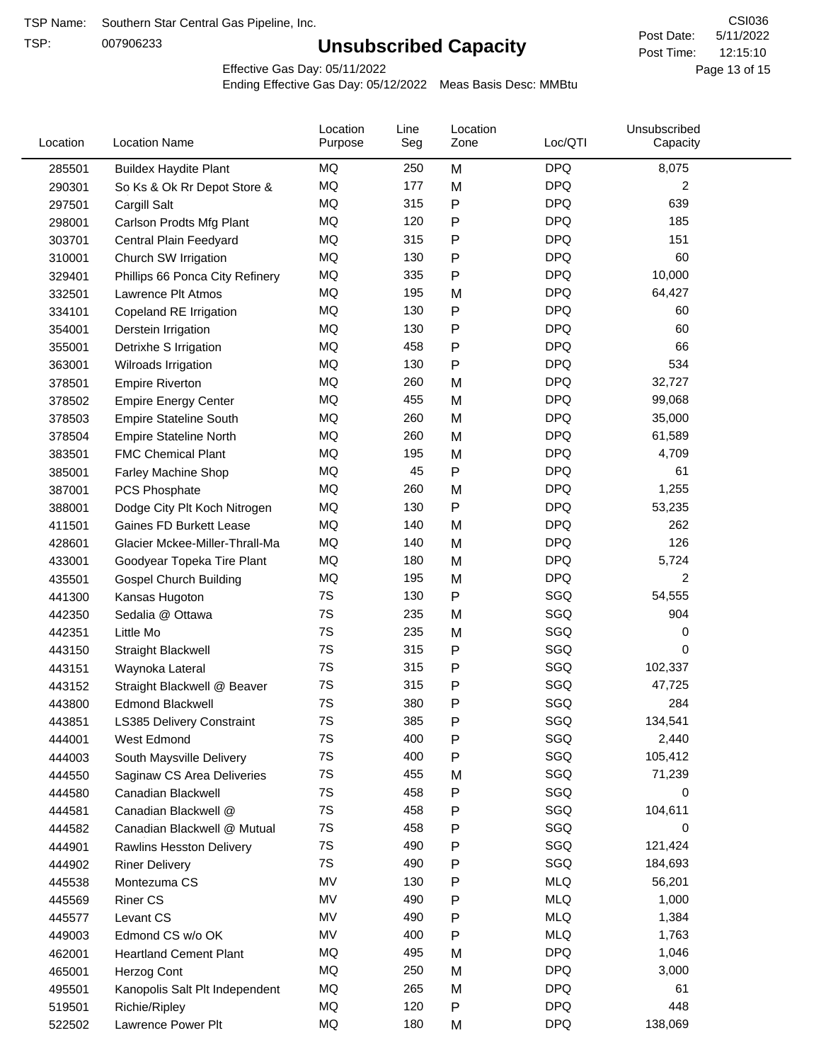TSP:

# **Unsubscribed Capacity**

5/11/2022 Page 13 of 15 12:15:10 CSI036 Post Date: Post Time:

Effective Gas Day: 05/11/2022

| Location | <b>Location Name</b>            | Location<br>Purpose | Line<br>Seg | Location<br>Zone | Loc/QTI    | Unsubscribed<br>Capacity |  |
|----------|---------------------------------|---------------------|-------------|------------------|------------|--------------------------|--|
| 285501   | <b>Buildex Haydite Plant</b>    | MQ                  | 250         | M                | <b>DPQ</b> | 8,075                    |  |
| 290301   | So Ks & Ok Rr Depot Store &     | MQ                  | 177         | M                | <b>DPQ</b> | 2                        |  |
| 297501   | Cargill Salt                    | MQ                  | 315         | P                | <b>DPQ</b> | 639                      |  |
| 298001   | Carlson Prodts Mfg Plant        | <b>MQ</b>           | 120         | Ρ                | <b>DPQ</b> | 185                      |  |
| 303701   | Central Plain Feedyard          | MQ                  | 315         | P                | <b>DPQ</b> | 151                      |  |
| 310001   | Church SW Irrigation            | MQ                  | 130         | P                | <b>DPQ</b> | 60                       |  |
| 329401   | Phillips 66 Ponca City Refinery | MQ                  | 335         | P                | <b>DPQ</b> | 10,000                   |  |
| 332501   | Lawrence Plt Atmos              | MQ                  | 195         | M                | <b>DPQ</b> | 64,427                   |  |
| 334101   | Copeland RE Irrigation          | MQ                  | 130         | P                | <b>DPQ</b> | 60                       |  |
| 354001   | Derstein Irrigation             | MQ                  | 130         | Ρ                | <b>DPQ</b> | 60                       |  |
| 355001   | Detrixhe S Irrigation           | MQ                  | 458         | P                | <b>DPQ</b> | 66                       |  |
| 363001   | Wilroads Irrigation             | MQ                  | 130         | Ρ                | <b>DPQ</b> | 534                      |  |
| 378501   | <b>Empire Riverton</b>          | MQ                  | 260         | M                | <b>DPQ</b> | 32,727                   |  |
| 378502   | <b>Empire Energy Center</b>     | MQ                  | 455         | M                | <b>DPQ</b> | 99,068                   |  |
| 378503   | <b>Empire Stateline South</b>   | MQ                  | 260         | M                | <b>DPQ</b> | 35,000                   |  |
| 378504   | <b>Empire Stateline North</b>   | MQ                  | 260         | M                | <b>DPQ</b> | 61,589                   |  |
| 383501   | <b>FMC Chemical Plant</b>       | MQ                  | 195         | M                | <b>DPQ</b> | 4,709                    |  |
| 385001   | Farley Machine Shop             | MQ                  | 45          | P                | <b>DPQ</b> | 61                       |  |
| 387001   | PCS Phosphate                   | MQ                  | 260         | M                | <b>DPQ</b> | 1,255                    |  |
| 388001   | Dodge City Plt Koch Nitrogen    | MQ                  | 130         | P                | <b>DPQ</b> | 53,235                   |  |
| 411501   | Gaines FD Burkett Lease         | MQ                  | 140         | M                | <b>DPQ</b> | 262                      |  |
| 428601   | Glacier Mckee-Miller-Thrall-Ma  | MQ                  | 140         | M                | <b>DPQ</b> | 126                      |  |
| 433001   | Goodyear Topeka Tire Plant      | MQ                  | 180         | M                | <b>DPQ</b> | 5,724                    |  |
| 435501   | <b>Gospel Church Building</b>   | MQ                  | 195         | M                | <b>DPQ</b> | $\overline{2}$           |  |
| 441300   | Kansas Hugoton                  | 7S                  | 130         | P                | SGQ        | 54,555                   |  |
| 442350   | Sedalia @ Ottawa                | 7S                  | 235         | M                | SGQ        | 904                      |  |
| 442351   | Little Mo                       | 7S                  | 235         | M                | SGQ        | 0                        |  |
| 443150   | <b>Straight Blackwell</b>       | 7S                  | 315         | P                | SGQ        | 0                        |  |
| 443151   | Waynoka Lateral                 | 7S                  | 315         | P                | SGQ        | 102,337                  |  |
| 443152   | Straight Blackwell @ Beaver     | 7S                  | 315         | Ρ                | SGQ        | 47,725                   |  |
| 443800   | <b>Edmond Blackwell</b>         | 7S                  | 380         | Ρ                | SGQ        | 284                      |  |
| 443851   | LS385 Delivery Constraint       | 7S                  | 385         | P                | SGQ        | 134,541                  |  |
| 444001   | West Edmond                     | 7S                  | 400         | P                | SGQ        | 2,440                    |  |
| 444003   | South Maysville Delivery        | 7S                  | 400         | P                | SGQ        | 105,412                  |  |
| 444550   | Saginaw CS Area Deliveries      | 7S                  | 455         | M                | SGQ        | 71,239                   |  |
| 444580   | Canadian Blackwell              | 7S                  | 458         | P                | SGQ        | 0                        |  |
| 444581   | Canadian Blackwell @            | 7S                  | 458         | Ρ                | SGQ        | 104,611                  |  |
| 444582   | Canadian Blackwell @ Mutual     | 7S                  | 458         | P                | SGQ        | 0                        |  |
| 444901   | Rawlins Hesston Delivery        | 7S                  | 490         | Ρ                | SGQ        | 121,424                  |  |
| 444902   | <b>Riner Delivery</b>           | 7S                  | 490         | Ρ                | SGQ        | 184,693                  |  |
| 445538   | Montezuma CS                    | MV                  | 130         | Ρ                | <b>MLQ</b> | 56,201                   |  |
| 445569   | <b>Riner CS</b>                 | MV                  | 490         | Ρ                | <b>MLQ</b> | 1,000                    |  |
| 445577   | Levant CS                       | MV                  | 490         | Ρ                | <b>MLQ</b> | 1,384                    |  |
| 449003   | Edmond CS w/o OK                | MV                  | 400         | Ρ                | <b>MLQ</b> | 1,763                    |  |
| 462001   | <b>Heartland Cement Plant</b>   | MQ                  | 495         | M                | <b>DPQ</b> | 1,046                    |  |
| 465001   | Herzog Cont                     | MQ                  | 250         | M                | <b>DPQ</b> | 3,000                    |  |
| 495501   | Kanopolis Salt Plt Independent  | MQ                  | 265         | M                | <b>DPQ</b> | 61                       |  |
| 519501   | Richie/Ripley                   | MQ                  | 120         | P                | <b>DPQ</b> | 448                      |  |
| 522502   | Lawrence Power Plt              | MQ                  | 180         | M                | <b>DPQ</b> | 138,069                  |  |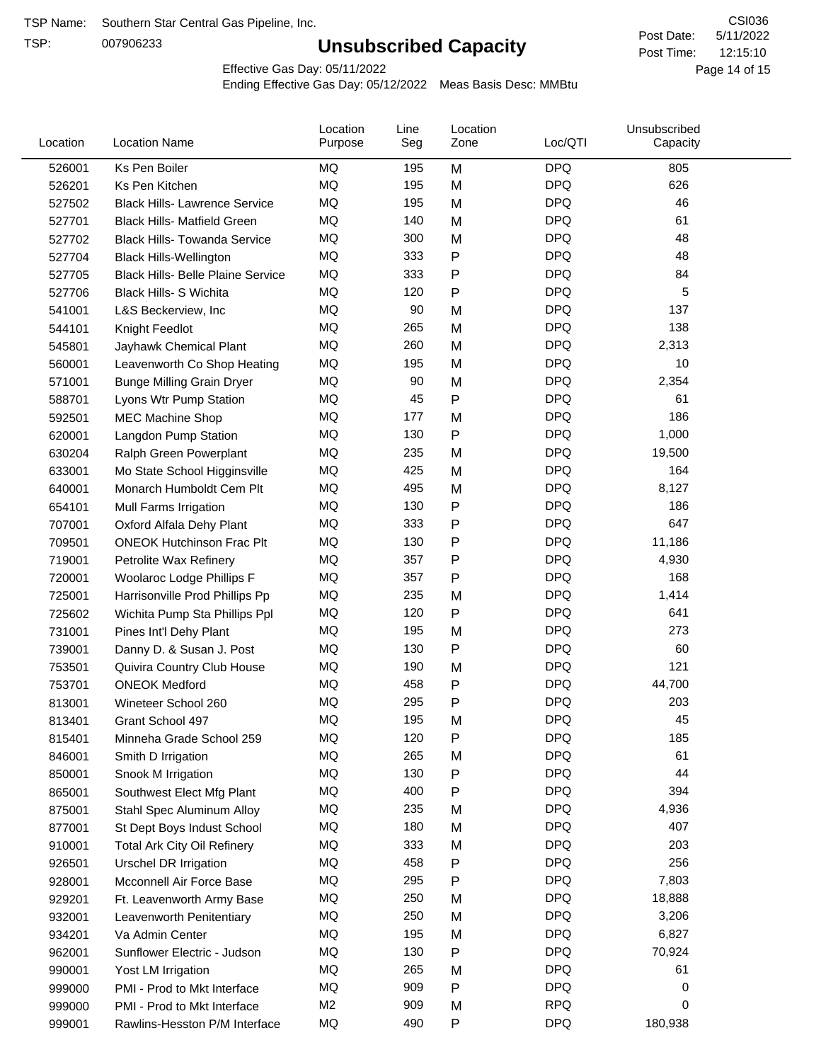TSP:

# **Unsubscribed Capacity**

5/11/2022 Page 14 of 15 12:15:10 CSI036 Post Date: Post Time:

Effective Gas Day: 05/11/2022

| Location | <b>Location Name</b>                     | Location<br>Purpose | Line<br>Seg | Location<br>Zone | Loc/QTI    | Unsubscribed<br>Capacity |  |
|----------|------------------------------------------|---------------------|-------------|------------------|------------|--------------------------|--|
| 526001   | Ks Pen Boiler                            | <b>MQ</b>           | 195         | M                | <b>DPQ</b> | 805                      |  |
| 526201   | Ks Pen Kitchen                           | MQ                  | 195         | M                | <b>DPQ</b> | 626                      |  |
| 527502   | <b>Black Hills- Lawrence Service</b>     | MQ                  | 195         | M                | <b>DPQ</b> | 46                       |  |
| 527701   | <b>Black Hills- Matfield Green</b>       | MQ                  | 140         | M                | <b>DPQ</b> | 61                       |  |
| 527702   | <b>Black Hills- Towanda Service</b>      | <b>MQ</b>           | 300         | M                | <b>DPQ</b> | 48                       |  |
| 527704   | <b>Black Hills-Wellington</b>            | MQ                  | 333         | P                | <b>DPQ</b> | 48                       |  |
| 527705   | <b>Black Hills- Belle Plaine Service</b> | MQ                  | 333         | Ρ                | <b>DPQ</b> | 84                       |  |
| 527706   | Black Hills- S Wichita                   | MQ                  | 120         | P                | <b>DPQ</b> | 5                        |  |
| 541001   | L&S Beckerview, Inc                      | MQ                  | 90          | M                | <b>DPQ</b> | 137                      |  |
| 544101   | Knight Feedlot                           | MQ                  | 265         | M                | <b>DPQ</b> | 138                      |  |
| 545801   | Jayhawk Chemical Plant                   | MQ                  | 260         | M                | <b>DPQ</b> | 2,313                    |  |
| 560001   | Leavenworth Co Shop Heating              | MQ                  | 195         | M                | <b>DPQ</b> | 10                       |  |
| 571001   | <b>Bunge Milling Grain Dryer</b>         | MQ                  | 90          | M                | <b>DPQ</b> | 2,354                    |  |
| 588701   | Lyons Wtr Pump Station                   | MQ                  | 45          | P                | <b>DPQ</b> | 61                       |  |
| 592501   | <b>MEC Machine Shop</b>                  | MQ                  | 177         | M                | <b>DPQ</b> | 186                      |  |
| 620001   | Langdon Pump Station                     | MQ                  | 130         | Ρ                | <b>DPQ</b> | 1,000                    |  |
| 630204   | Ralph Green Powerplant                   | MQ                  | 235         | M                | <b>DPQ</b> | 19,500                   |  |
| 633001   | Mo State School Higginsville             | MQ                  | 425         | M                | <b>DPQ</b> | 164                      |  |
| 640001   | Monarch Humboldt Cem Plt                 | MQ                  | 495         | M                | <b>DPQ</b> | 8,127                    |  |
| 654101   | Mull Farms Irrigation                    | MQ                  | 130         | P                | <b>DPQ</b> | 186                      |  |
| 707001   | Oxford Alfala Dehy Plant                 | MQ                  | 333         | P                | <b>DPQ</b> | 647                      |  |
| 709501   | <b>ONEOK Hutchinson Frac Plt</b>         | MQ                  | 130         | Ρ                | <b>DPQ</b> | 11,186                   |  |
| 719001   | Petrolite Wax Refinery                   | MQ                  | 357         | Ρ                | <b>DPQ</b> | 4,930                    |  |
| 720001   | Woolaroc Lodge Phillips F                | MQ                  | 357         | Ρ                | <b>DPQ</b> | 168                      |  |
| 725001   | Harrisonville Prod Phillips Pp           | MQ                  | 235         | M                | <b>DPQ</b> | 1,414                    |  |
| 725602   | Wichita Pump Sta Phillips Ppl            | MQ                  | 120         | P                | <b>DPQ</b> | 641                      |  |
| 731001   | Pines Int'l Dehy Plant                   | MQ                  | 195         | M                | <b>DPQ</b> | 273                      |  |
| 739001   | Danny D. & Susan J. Post                 | MQ                  | 130         | P                | <b>DPQ</b> | 60                       |  |
| 753501   | Quivira Country Club House               | MQ                  | 190         | M                | <b>DPQ</b> | 121                      |  |
| 753701   | <b>ONEOK Medford</b>                     | MQ                  | 458         | Ρ                | <b>DPQ</b> | 44,700                   |  |
| 813001   | Wineteer School 260                      | MQ                  | 295         | Ρ                | <b>DPQ</b> | 203                      |  |
| 813401   | Grant School 497                         | MQ                  | 195         | М                | <b>DPQ</b> | 45                       |  |
| 815401   | Minneha Grade School 259                 | ΜQ                  | 120         | Ρ                | <b>DPQ</b> | 185                      |  |
| 846001   | Smith D Irrigation                       | MQ                  | 265         | M                | <b>DPQ</b> | 61                       |  |
| 850001   | Snook M Irrigation                       | MQ                  | 130         | Ρ                | <b>DPQ</b> | 44                       |  |
| 865001   | Southwest Elect Mfg Plant                | MQ                  | 400         | Ρ                | <b>DPQ</b> | 394                      |  |
| 875001   | Stahl Spec Aluminum Alloy                | MQ                  | 235         | M                | <b>DPQ</b> | 4,936                    |  |
| 877001   | St Dept Boys Indust School               | MQ                  | 180         | M                | <b>DPQ</b> | 407                      |  |
| 910001   | <b>Total Ark City Oil Refinery</b>       | MQ                  | 333         | M                | <b>DPQ</b> | 203                      |  |
| 926501   | <b>Urschel DR Irrigation</b>             | MQ                  | 458         | P                | <b>DPQ</b> | 256                      |  |
| 928001   | Mcconnell Air Force Base                 | MQ                  | 295         | Ρ                | <b>DPQ</b> | 7,803                    |  |
| 929201   | Ft. Leavenworth Army Base                | MQ                  | 250         | M                | <b>DPQ</b> | 18,888                   |  |
| 932001   | Leavenworth Penitentiary                 | MQ                  | 250         | M                | <b>DPQ</b> | 3,206                    |  |
| 934201   | Va Admin Center                          | MQ                  | 195         | M                | <b>DPQ</b> | 6,827                    |  |
| 962001   | Sunflower Electric - Judson              | MQ                  | 130         | P                | <b>DPQ</b> | 70,924                   |  |
| 990001   | Yost LM Irrigation                       | MQ                  | 265         | M                | <b>DPQ</b> | 61                       |  |
| 999000   | PMI - Prod to Mkt Interface              | MQ                  | 909         | Ρ                | <b>DPQ</b> | 0                        |  |
| 999000   | PMI - Prod to Mkt Interface              | M <sub>2</sub>      | 909         | M                | <b>RPQ</b> | 0                        |  |
| 999001   | Rawlins-Hesston P/M Interface            | MQ                  | 490         | Ρ                | <b>DPQ</b> | 180,938                  |  |